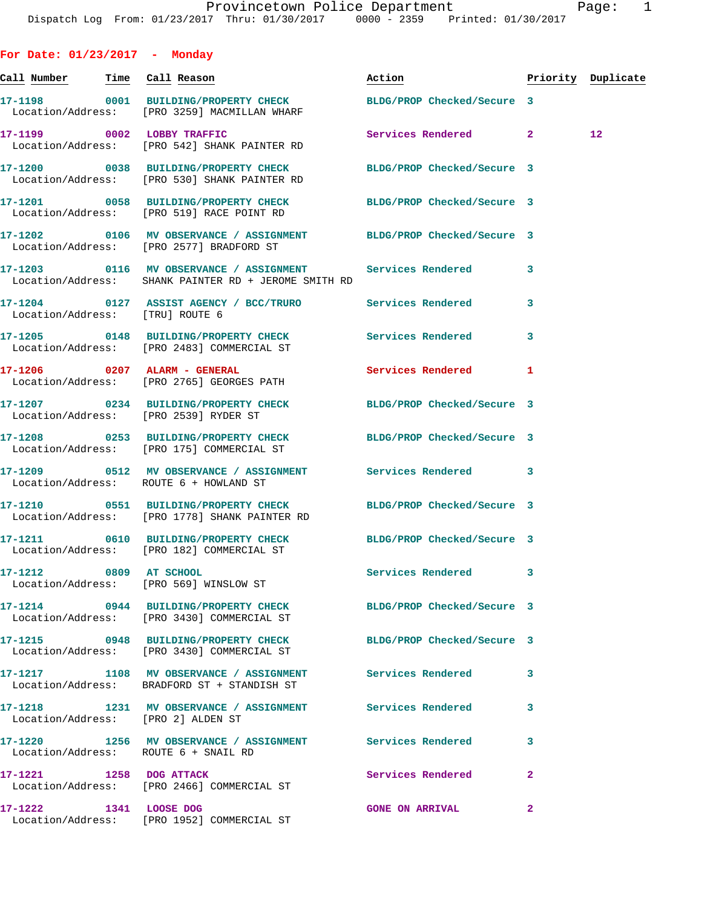**For Date: 01/23/2017 - Monday Call Number Time Call Reason Action Priority Duplicate 17-1198 0001 BUILDING/PROPERTY CHECK BLDG/PROP Checked/Secure 3**  Location/Address: [PRO 3259] MACMILLAN WHARF **17-1199 0002 LOBBY TRAFFIC Services Rendered 2 12**  Location/Address: [PRO 542] SHANK PAINTER RD **17-1200 0038 BUILDING/PROPERTY CHECK BLDG/PROP Checked/Secure 3**  Location/Address: [PRO 530] SHANK PAINTER RD **17-1201 0058 BUILDING/PROPERTY CHECK BLDG/PROP Checked/Secure 3**  Location/Address: [PRO 519] RACE POINT RD **17-1202 0106 MV OBSERVANCE / ASSIGNMENT BLDG/PROP Checked/Secure 3**  Location/Address: [PRO 2577] BRADFORD ST **17-1203 0116 MV OBSERVANCE / ASSIGNMENT Services Rendered 3**  Location/Address: SHANK PAINTER RD + JEROME SMITH RD **17-1204 0127 ASSIST AGENCY / BCC/TRURO Services Rendered 3**  Location/Address: [TRU] ROUTE 6 **17-1205 0148 BUILDING/PROPERTY CHECK Services Rendered 3**  Location/Address: [PRO 2483] COMMERCIAL ST **17-1206 0207 ALARM - GENERAL Services Rendered 1**  Location/Address: [PRO 2765] GEORGES PATH **17-1207 0234 BUILDING/PROPERTY CHECK BLDG/PROP Checked/Secure 3**  Location/Address: [PRO 2539] RYDER ST **17-1208 0253 BUILDING/PROPERTY CHECK BLDG/PROP Checked/Secure 3**  Location/Address: [PRO 175] COMMERCIAL ST **17-1209 0512 MV OBSERVANCE / ASSIGNMENT Services Rendered 3**  Location/Address: ROUTE 6 + HOWLAND ST **17-1210 0551 BUILDING/PROPERTY CHECK BLDG/PROP Checked/Secure 3**  Location/Address: [PRO 1778] SHANK PAINTER RD **17-1211 0610 BUILDING/PROPERTY CHECK BLDG/PROP Checked/Secure 3**  Location/Address: [PRO 182] COMMERCIAL ST **17-1212 0809 AT SCHOOL Services Rendered 3**  Location/Address: [PRO 569] WINSLOW ST **17-1214 0944 BUILDING/PROPERTY CHECK BLDG/PROP Checked/Secure 3**  Location/Address: [PRO 3430] COMMERCIAL ST **17-1215 0948 BUILDING/PROPERTY CHECK BLDG/PROP Checked/Secure 3**  Location/Address: [PRO 3430] COMMERCIAL ST **17-1217 1108 MV OBSERVANCE / ASSIGNMENT Services Rendered 3**  Location/Address: BRADFORD ST + STANDISH ST **17-1218 1231 MV OBSERVANCE / ASSIGNMENT Services Rendered 3**  Location/Address: [PRO 2] ALDEN ST **17-1220 1256 MV OBSERVANCE / ASSIGNMENT Services Rendered 3**  Location/Address: ROUTE 6 + SNAIL RD **17-1221 1258 DOG ATTACK Services Rendered 2**  Location/Address: [PRO 2466] COMMERCIAL ST

**17-1222 1341 LOOSE DOG GONE ON ARRIVAL 2**  Location/Address: [PRO 1952] COMMERCIAL ST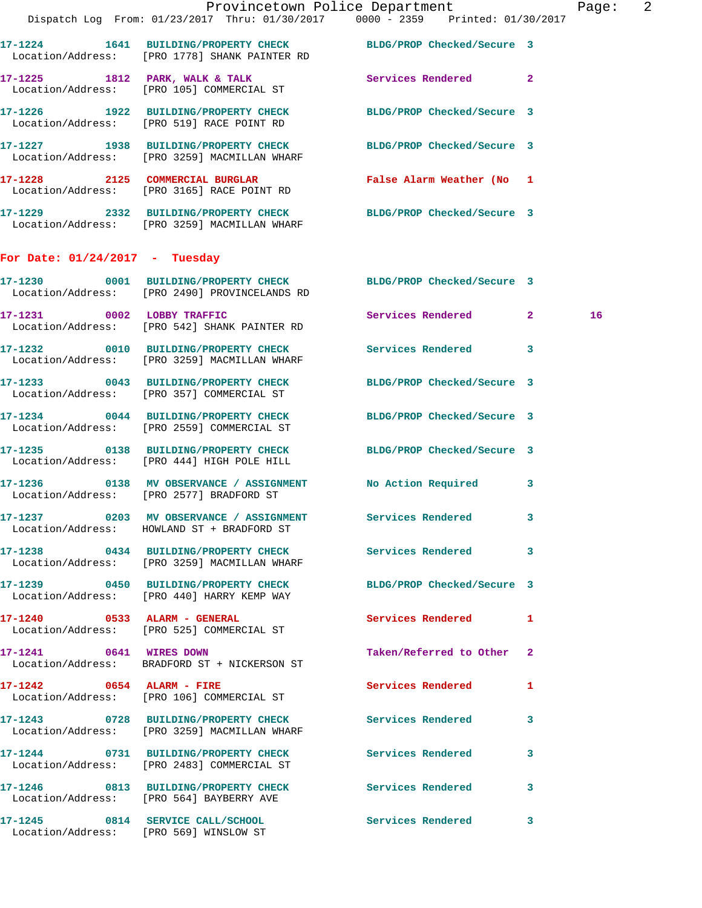|                                  | Dispatch Log From: 01/23/2017 Thru: 01/30/2017 0000 - 2359 Printed: 01/30/2017                                   | Provincetown Police Department    | Page: 2 |
|----------------------------------|------------------------------------------------------------------------------------------------------------------|-----------------------------------|---------|
|                                  | 17-1224 1641 BUILDING/PROPERTY CHECK BLDG/PROP Checked/Secure 3<br>Location/Address: [PRO 1778] SHANK PAINTER RD |                                   |         |
|                                  | 17-1225 1812 PARK, WALK & TALK 3 Services Rendered 2<br>Location/Address: [PRO 105] COMMERCIAL ST                |                                   |         |
|                                  | 17-1226 1922 BUILDING/PROPERTY CHECK BLDG/PROP Checked/Secure 3<br>Location/Address: [PRO 519] RACE POINT RD     |                                   |         |
|                                  | 17-1227 1938 BUILDING/PROPERTY CHECK BLDG/PROP Checked/Secure 3<br>Location/Address: [PRO 3259] MACMILLAN WHARF  |                                   |         |
|                                  | 17-1228 2125 COMMERCIAL BURGLAR<br>Location/Address: [PRO 3165] RACE POINT RD                                    | False Alarm Weather (No 1         |         |
|                                  | 17-1229 2332 BUILDING/PROPERTY CHECK BLDG/PROP Checked/Secure 3<br>Location/Address: [PRO 3259] MACMILLAN WHARF  |                                   |         |
| For Date: $01/24/2017$ - Tuesday |                                                                                                                  |                                   |         |
|                                  | 17-1230 0001 BUILDING/PROPERTY CHECK BLDG/PROP Checked/Secure 3<br>Location/Address: [PRO 2490] PROVINCELANDS RD |                                   |         |
|                                  | 17-1231 0002 LOBBY TRAFFIC<br>Location/Address: [PRO 542] SHANK PAINTER RD                                       | Services Rendered 2               | 16      |
|                                  | 17-1232 0010 BUILDING/PROPERTY CHECK Services Rendered 3<br>Location/Address: [PRO 3259] MACMILLAN WHARF         |                                   |         |
|                                  | 17-1233 0043 BUILDING/PROPERTY CHECK BLDG/PROP Checked/Secure 3<br>Location/Address: [PRO 357] COMMERCIAL ST     |                                   |         |
|                                  | 17-1234 0044 BUILDING/PROPERTY CHECK<br>Location/Address: [PRO 2559] COMMERCIAL ST                               | BLDG/PROP Checked/Secure 3        |         |
|                                  | 17-1235 0138 BUILDING/PROPERTY CHECK BLDG/PROP Checked/Secure 3<br>Location/Address: [PRO 444] HIGH POLE HILL    |                                   |         |
|                                  | 17-1236 0138 MV OBSERVANCE / ASSIGNMENT No Action Required 3<br>Location/Address: [PRO 2577] BRADFORD ST         |                                   |         |
|                                  | 17-1237 0203 MV OBSERVANCE / ASSIGNMENT<br>Location/Address: HOWLAND ST + BRADFORD ST                            | Services Rendered 3               |         |
|                                  | 17-1238 0434 BUILDING/PROPERTY CHECK Services Rendered 3<br>Location/Address: [PRO 3259] MACMILLAN WHARF         |                                   |         |
|                                  | 17-1239 0450 BUILDING/PROPERTY CHECK<br>Location/Address: [PRO 440] HARRY KEMP WAY                               | BLDG/PROP Checked/Secure 3        |         |
|                                  | 17-1240 0533 ALARM - GENERAL<br>Location/Address: [PRO 525] COMMERCIAL ST                                        | Services Rendered 1               |         |
| 17-1241 0641 WIRES DOWN          | Location/Address: BRADFORD ST + NICKERSON ST                                                                     | Taken/Referred to Other 2         |         |
|                                  | 17-1242 0654 ALARM - FIRE<br>Location/Address: [PRO 106] COMMERCIAL ST                                           | Services Rendered<br>$\mathbf{1}$ |         |
|                                  | 17-1243 0728 BUILDING/PROPERTY CHECK Services Rendered 3<br>Location/Address: [PRO 3259] MACMILLAN WHARF         |                                   |         |
|                                  | 17-1244 0731 BUILDING/PROPERTY CHECK<br>Location/Address: [PRO 2483] COMMERCIAL ST                               | Services Rendered<br>3            |         |
|                                  | 17-1246 0813 BUILDING/PROPERTY CHECK Services Rendered 3<br>Location/Address: [PRO 564] BAYBERRY AVE             |                                   |         |
|                                  | 17-1245 0814 SERVICE CALL/SCHOOL 5ervices Rendered 3<br>Location/Address: [PRO 569] WINSLOW ST                   |                                   |         |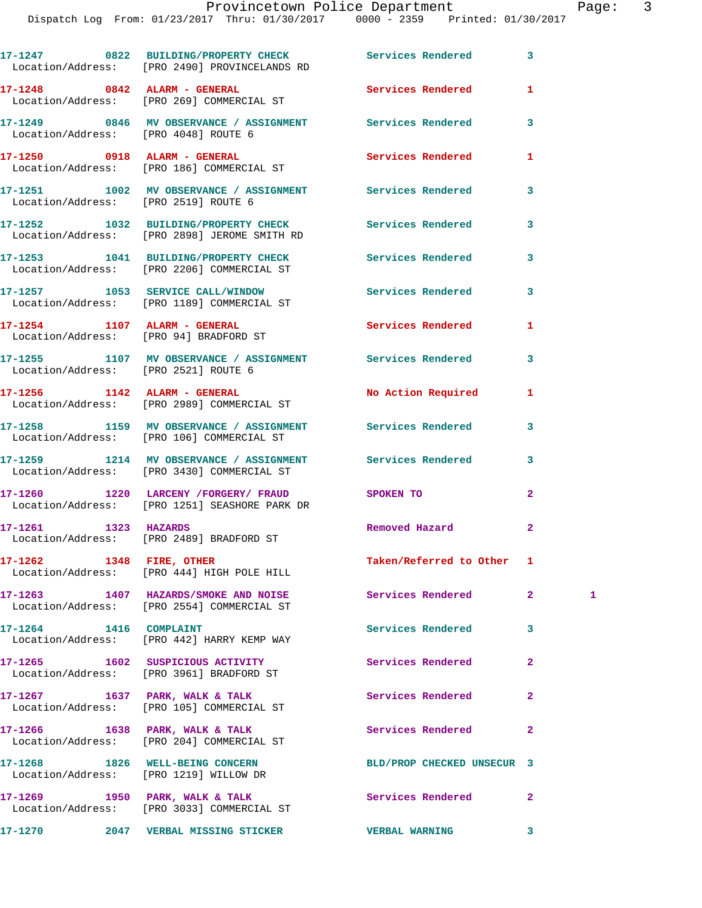|                                      | 17-1247 0822 BUILDING/PROPERTY CHECK Services Rendered<br>Location/Address: [PRO 2490] PROVINCELANDS RD |                            | 3              |   |
|--------------------------------------|---------------------------------------------------------------------------------------------------------|----------------------------|----------------|---|
|                                      | 17-1248 0842 ALARM - GENERAL<br>Location/Address: [PRO 269] COMMERCIAL ST                               | Services Rendered          | 1              |   |
| Location/Address: [PRO 4048] ROUTE 6 | 17-1249 0846 MV OBSERVANCE / ASSIGNMENT Services Rendered                                               |                            | 3              |   |
|                                      | 17-1250 0918 ALARM - GENERAL<br>Location/Address: [PRO 186] COMMERCIAL ST                               | <b>Services Rendered</b>   | 1              |   |
| Location/Address: [PRO 2519] ROUTE 6 | 17-1251 1002 MV OBSERVANCE / ASSIGNMENT Services Rendered                                               |                            | 3              |   |
|                                      | 17-1252 1032 BUILDING/PROPERTY CHECK<br>Location/Address: [PRO 2898] JEROME SMITH RD                    | Services Rendered          | 3              |   |
|                                      | 17-1253 1041 BUILDING/PROPERTY CHECK<br>Location/Address: [PRO 2206] COMMERCIAL ST                      | Services Rendered          | 3              |   |
|                                      | 17-1257 1053 SERVICE CALL/WINDOW<br>Location/Address: [PRO 1189] COMMERCIAL ST                          | <b>Services Rendered</b>   | 3              |   |
|                                      | 17-1254 1107 ALARM - GENERAL<br>Location/Address: [PRO 94] BRADFORD ST                                  | <b>Services Rendered</b>   | 1              |   |
| Location/Address: [PRO 2521] ROUTE 6 | 17-1255 1107 MV OBSERVANCE / ASSIGNMENT Services Rendered                                               |                            | 3              |   |
|                                      | 17-1256    1142    ALARM - GENERAL<br>Location/Address: [PRO 2989] COMMERCIAL ST                        | No Action Required         | 1              |   |
|                                      | 17-1258 1159 MV OBSERVANCE / ASSIGNMENT Services Rendered<br>Location/Address: [PRO 106] COMMERCIAL ST  |                            | 3              |   |
|                                      | 17-1259 1214 MV OBSERVANCE / ASSIGNMENT Services Rendered<br>Location/Address: [PRO 3430] COMMERCIAL ST |                            | 3              |   |
|                                      | 17-1260 1220 LARCENY / FORGERY / FRAUD SPOKEN TO<br>Location/Address: [PRO 1251] SEASHORE PARK DR       |                            | $\mathbf{2}$   |   |
|                                      | 17-1261 1323 HAZARDS<br>Location/Address: [PRO 2489] BRADFORD ST                                        | Removed Hazard             | $\mathbf{2}$   |   |
|                                      | 17-1262 1348 FIRE, OTHER<br>Location/Address: [PRO 444] HIGH POLE HILL                                  | Taken/Referred to Other 1  |                |   |
|                                      | 17-1263 1407 HAZARDS/SMOKE AND NOISE Services Rendered<br>Location/Address: [PRO 2554] COMMERCIAL ST    |                            | 2 <sup>1</sup> | 1 |
| 17-1264 1416 COMPLAINT               | Location/Address: [PRO 442] HARRY KEMP WAY                                                              | Services Rendered          | 3              |   |
|                                      | 17-1265 1602 SUSPICIOUS ACTIVITY<br>Location/Address: [PRO 3961] BRADFORD ST                            | Services Rendered          | $\mathbf{2}$   |   |
|                                      | $17-1267$ 1637 PARK, WALK & TALK<br>Location/Address: [PRO 105] COMMERCIAL ST                           | <b>Services Rendered</b>   | $\overline{a}$ |   |
|                                      | $17 - 1266$ 1638 PARK, WALK & TALK<br>Location/Address: [PRO 204] COMMERCIAL ST                         | Services Rendered          | $\mathbf{2}$   |   |
|                                      | 17-1268 1826 WELL-BEING CONCERN<br>Location/Address: [PRO 1219] WILLOW DR                               | BLD/PROP CHECKED UNSECUR 3 |                |   |
|                                      | 17-1269 1950 PARK, WALK & TALK<br>Location/Address: [PRO 3033] COMMERCIAL ST                            | Services Rendered          | $\overline{a}$ |   |
|                                      |                                                                                                         |                            | 3              |   |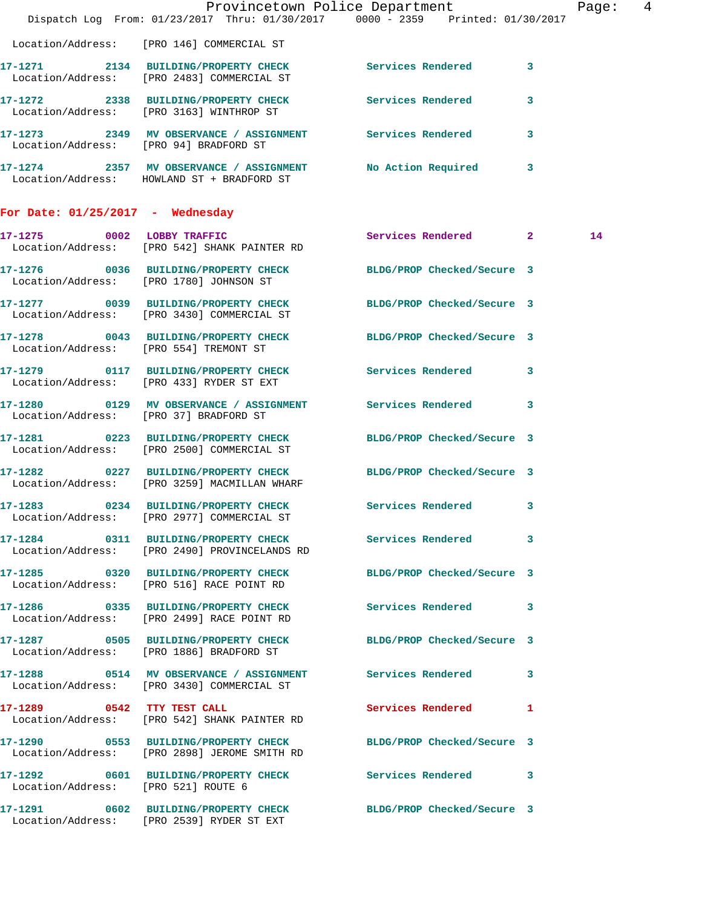|                                        |                                                                                                                 | Provincetown Police Department<br>Dispatch Log From: 01/23/2017 Thru: 01/30/2017 0000 - 2359 Printed: 01/30/2017 | Page:  4 |
|----------------------------------------|-----------------------------------------------------------------------------------------------------------------|------------------------------------------------------------------------------------------------------------------|----------|
|                                        | Location/Address: [PRO 146] COMMERCIAL ST                                                                       |                                                                                                                  |          |
|                                        | 17-1271 2134 BUILDING/PROPERTY CHECK Services Rendered 3<br>Location/Address: [PRO 2483] COMMERCIAL ST          |                                                                                                                  |          |
|                                        | 17-1272 2338 BUILDING/PROPERTY CHECK Services Rendered 3<br>Location/Address: [PRO 3163] WINTHROP ST            |                                                                                                                  |          |
| Location/Address: [PRO 94] BRADFORD ST | 17-1273 2349 MV OBSERVANCE / ASSIGNMENT Services Rendered 3                                                     |                                                                                                                  |          |
|                                        | 17-1274 2357 MV OBSERVANCE / ASSIGNMENT No Action Required 3<br>Location/Address: HOWLAND ST + BRADFORD ST      |                                                                                                                  |          |
| For Date: $01/25/2017$ - Wednesday     |                                                                                                                 |                                                                                                                  |          |
|                                        | 17-1275 0002 LOBBY TRAFFIC<br>Location/Address: [PRO 542] SHANK PAINTER RD                                      | Services Rendered 2                                                                                              | 14       |
|                                        | 17-1276 0036 BUILDING/PROPERTY CHECK BLDG/PROP Checked/Secure 3<br>Location/Address: [PRO 1780] JOHNSON ST      |                                                                                                                  |          |
|                                        | 17-1277 0039 BUILDING/PROPERTY CHECK BLDG/PROP Checked/Secure 3<br>Location/Address: [PRO 3430] COMMERCIAL ST   |                                                                                                                  |          |
|                                        | 17-1278 0043 BUILDING/PROPERTY CHECK BLDG/PROP Checked/Secure 3<br>Location/Address: [PRO 554] TREMONT ST       |                                                                                                                  |          |
|                                        | 17-1279 0117 BUILDING/PROPERTY CHECK Services Rendered 3<br>Location/Address: [PRO 433] RYDER ST EXT            |                                                                                                                  |          |
| Location/Address: [PRO 37] BRADFORD ST | 17-1280 0129 MV OBSERVANCE / ASSIGNMENT Services Rendered 3                                                     |                                                                                                                  |          |
|                                        | 17-1281 0223 BUILDING/PROPERTY CHECK BLDG/PROP Checked/Secure 3<br>Location/Address: [PRO 2500] COMMERCIAL ST   |                                                                                                                  |          |
|                                        | 17-1282 0227 BUILDING/PROPERTY CHECK BLDG/PROP Checked/Secure 3<br>Location/Address: [PRO 3259] MACMILLAN WHARF |                                                                                                                  |          |
|                                        | 17-1283 0234 BUILDING/PROPERTY CHECK Services Rendered 3<br>Location/Address: [PRO 2977] COMMERCIAL ST          |                                                                                                                  |          |
|                                        | 17-1284 0311 BUILDING/PROPERTY CHECK Services Rendered 3<br>Location/Address: [PRO 2490] PROVINCELANDS RD       |                                                                                                                  |          |
|                                        | 17-1285 0320 BUILDING/PROPERTY CHECK BLDG/PROP Checked/Secure 3<br>Location/Address: [PRO 516] RACE POINT RD    |                                                                                                                  |          |
|                                        | 17-1286 0335 BUILDING/PROPERTY CHECK Services Rendered 3<br>Location/Address: [PRO 2499] RACE POINT RD          |                                                                                                                  |          |
|                                        | 17-1287 0505 BUILDING/PROPERTY CHECK BLDG/PROP Checked/Secure 3<br>Location/Address: [PRO 1886] BRADFORD ST     |                                                                                                                  |          |
|                                        | 17-1288 0514 MV OBSERVANCE / ASSIGNMENT Services Rendered 3<br>Location/Address: [PRO 3430] COMMERCIAL ST       |                                                                                                                  |          |
|                                        | 17-1289 0542 TTY TEST CALL<br>Location/Address: [PRO 542] SHANK PAINTER RD                                      | Services Rendered 1                                                                                              |          |
|                                        | 17-1290 0553 BUILDING/PROPERTY CHECK BLDG/PROP Checked/Secure 3<br>Location/Address: [PRO 2898] JEROME SMITH RD |                                                                                                                  |          |
| Location/Address: [PRO 521] ROUTE 6    | 17-1292 0601 BUILDING/PROPERTY CHECK Services Rendered 3                                                        |                                                                                                                  |          |
|                                        | 17-1291 0602 BUILDING/PROPERTY CHECK BLDG/PROP Checked/Secure 3<br>Location/Address: [PRO 2539] RYDER ST EXT    |                                                                                                                  |          |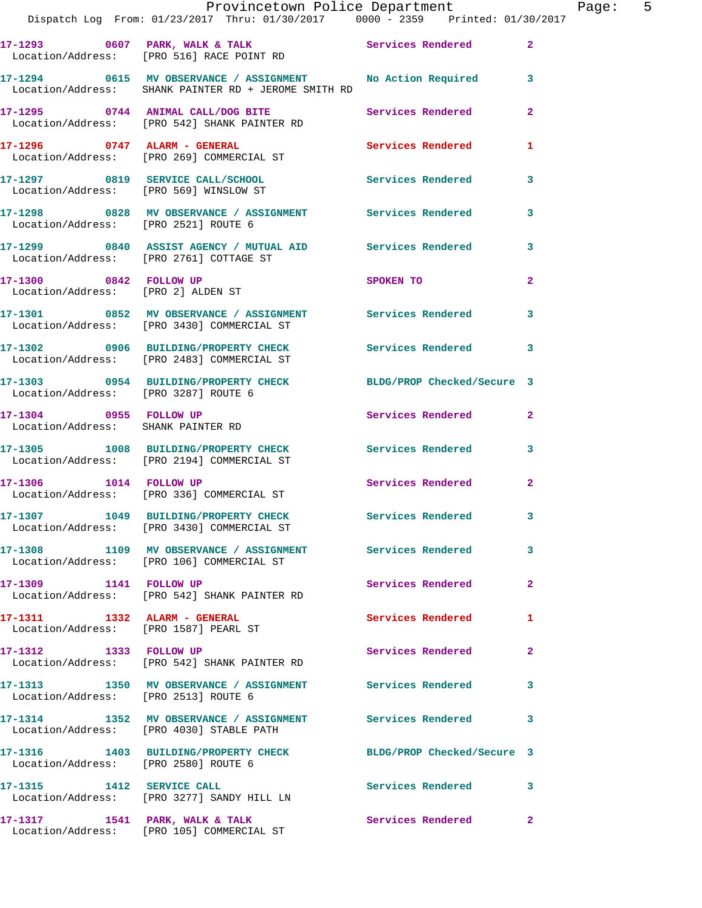|                                      | Provincetown Police Department The Page: 5<br>Dispatch Log From: 01/23/2017 Thru: 01/30/2017 0000 - 2359 Printed: 01/30/2017 |                     |                |  |
|--------------------------------------|------------------------------------------------------------------------------------------------------------------------------|---------------------|----------------|--|
|                                      |                                                                                                                              |                     |                |  |
|                                      | 17-1294 0615 MV OBSERVANCE / ASSIGNMENT No Action Required 3<br>Location/Address: SHANK PAINTER RD + JEROME SMITH RD         |                     |                |  |
|                                      |                                                                                                                              |                     | $\mathbf{2}$   |  |
|                                      | 17-1296      0747   ALARM - GENERAL             Services Rendered<br>Location/Address:    [PRO 269] COMMERCIAL ST            |                     | 1              |  |
|                                      | 17-1297 0819 SERVICE CALL/SCHOOL Services Rendered 3<br>Location/Address: [PRO 569] WINSLOW ST                               |                     |                |  |
| Location/Address: [PRO 2521] ROUTE 6 | 17-1298 0828 MV OBSERVANCE / ASSIGNMENT Services Rendered                                                                    |                     | 3              |  |
|                                      | 17-1299 0840 ASSIST AGENCY / MUTUAL AID Services Rendered 3<br>Location/Address: [PRO 2761] COTTAGE ST                       |                     |                |  |
| Location/Address: [PRO 2] ALDEN ST   | 17-1300 0842 FOLLOW UP                                                                                                       | SPOKEN TO           | $\mathbf{2}$   |  |
|                                      | 17-1301 0852 MV OBSERVANCE / ASSIGNMENT Services Rendered 3<br>Location/Address: [PRO 3430] COMMERCIAL ST                    |                     |                |  |
|                                      | 17-1302 0906 BUILDING/PROPERTY CHECK Services Rendered<br>Location/Address: [PRO 2483] COMMERCIAL ST                         |                     | 3              |  |
|                                      | 17-1303 0954 BUILDING/PROPERTY CHECK BLDG/PROP Checked/Secure 3<br>Location/Address: [PRO 3287] ROUTE 6                      |                     |                |  |
| Location/Address: SHANK PAINTER RD   | 17-1304 0955 FOLLOW UP                                                                                                       | Services Rendered   | $\mathbf{2}$   |  |
|                                      | 17-1305 1008 BUILDING/PROPERTY CHECK Services Rendered 3<br>Location/Address: [PRO 2194] COMMERCIAL ST                       |                     |                |  |
|                                      | 17-1306 1014 FOLLOW UP<br>Location/Address: [PRO 336] COMMERCIAL ST                                                          | Services Rendered   | $\mathbf{2}$   |  |
|                                      | 17-1307 1049 BUILDING/PROPERTY CHECK<br>Location/Address: [PRO 3430] COMMERCIAL ST                                           | Services Rendered   |                |  |
|                                      | 17-1308 1109 MV OBSERVANCE / ASSIGNMENT Services Rendered<br>Location/Address: [PRO 106] COMMERCIAL ST                       |                     | 3              |  |
| 17-1309 1141 FOLLOW UP               | Location/Address: [PRO 542] SHANK PAINTER RD                                                                                 | Services Rendered   | $\mathbf{2}$   |  |
|                                      | 17-1311 1332 ALARM - GENERAL<br>Location/Address: [PRO 1587] PEARL ST                                                        | Services Rendered   | 1              |  |
| 17-1312 1333 FOLLOW UP               | Location/Address: [PRO 542] SHANK PAINTER RD                                                                                 | Services Rendered   | $\overline{2}$ |  |
| Location/Address: [PRO 2513] ROUTE 6 | 17-1313 1350 MV OBSERVANCE / ASSIGNMENT Services Rendered                                                                    |                     | 3              |  |
|                                      | 17-1314 1352 MV OBSERVANCE / ASSIGNMENT Services Rendered<br>Location/Address: [PRO 4030] STABLE PATH                        |                     | 3              |  |
| Location/Address: [PRO 2580] ROUTE 6 | 17-1316 1403 BUILDING/PROPERTY CHECK BLDG/PROP Checked/Secure 3                                                              |                     |                |  |
| 17-1315 1412 SERVICE CALL            | Location/Address: [PRO 3277] SANDY HILL LN                                                                                   | Services Rendered 3 |                |  |
|                                      | $17-1317$ 1541 PARK, WALK & TALK                                                                                             | Services Rendered   | $\mathbf{2}$   |  |

Location/Address: [PRO 105] COMMERCIAL ST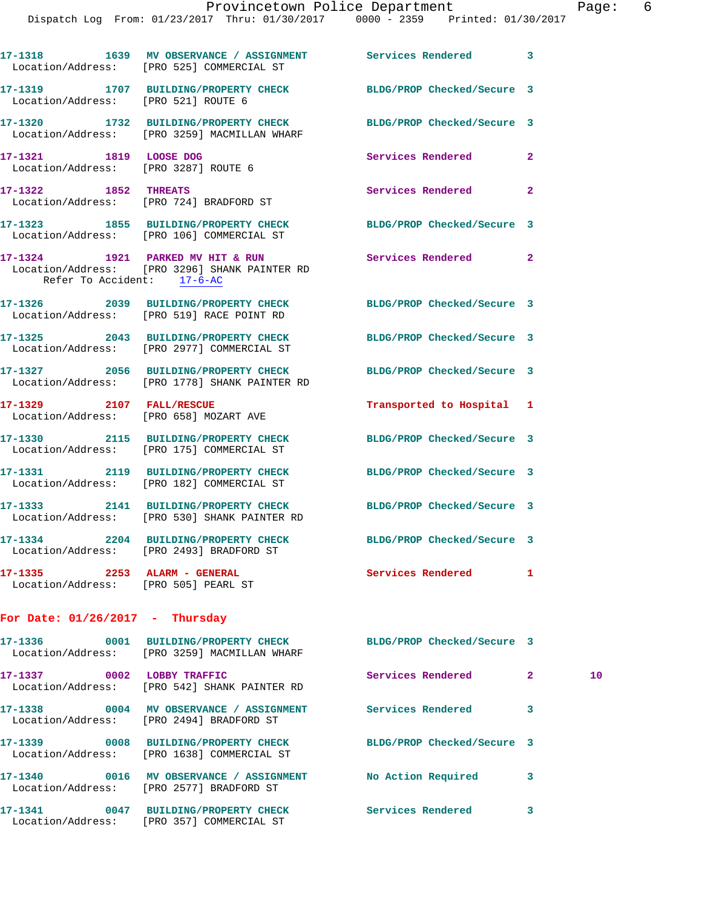Dispatch Log From: 01/23/2017 Thru: 01/30/2017 0000 - 2359 Printed: 01/30/2017

|                                     | 17-1318 1639 MV OBSERVANCE / ASSIGNMENT Services Rendered<br>Location/Address: [PRO 525] COMMERCIAL ST          |                            | 3            |    |
|-------------------------------------|-----------------------------------------------------------------------------------------------------------------|----------------------------|--------------|----|
| Location/Address: [PRO 521] ROUTE 6 | 17-1319 1707 BUILDING/PROPERTY CHECK BLDG/PROP Checked/Secure 3                                                 |                            |              |    |
|                                     | 17-1320 1732 BUILDING/PROPERTY CHECK BLDG/PROP Checked/Secure 3<br>Location/Address: [PRO 3259] MACMILLAN WHARF |                            |              |    |
| 17-1321 1819 LOOSE DOG              | Location/Address: [PRO 3287] ROUTE 6                                                                            | Services Rendered          | $\mathbf{2}$ |    |
|                                     | 17-1322 1852 THREATS<br>Location/Address: [PRO 724] BRADFORD ST                                                 | Services Rendered          | $\mathbf{2}$ |    |
|                                     | 17-1323 1855 BUILDING/PROPERTY CHECK BLDG/PROP Checked/Secure 3<br>Location/Address: [PRO 106] COMMERCIAL ST    |                            |              |    |
| Refer To Accident: 17-6-AC          | 17-1324 1921 PARKED MV HIT & RUN Services Rendered 2<br>Location/Address: [PRO 3296] SHANK PAINTER RD           |                            |              |    |
|                                     | 17-1326 2039 BUILDING/PROPERTY CHECK BLDG/PROP Checked/Secure 3<br>Location/Address: [PRO 519] RACE POINT RD    |                            |              |    |
|                                     | 17-1325 2043 BUILDING/PROPERTY CHECK<br>Location/Address: [PRO 2977] COMMERCIAL ST                              | BLDG/PROP Checked/Secure 3 |              |    |
|                                     | 17-1327 2056 BUILDING/PROPERTY CHECK<br>Location/Address: [PRO 1778] SHANK PAINTER RD                           | BLDG/PROP Checked/Secure 3 |              |    |
|                                     | 17-1329 2107 FALL/RESCUE<br>Location/Address: [PRO 658] MOZART AVE                                              | Transported to Hospital 1  |              |    |
|                                     | 17-1330 2115 BUILDING/PROPERTY CHECK BLDG/PROP Checked/Secure 3<br>Location/Address: [PRO 175] COMMERCIAL ST    |                            |              |    |
|                                     | 17-1331 2119 BUILDING/PROPERTY CHECK BLDG/PROP Checked/Secure 3<br>Location/Address: [PRO 182] COMMERCIAL ST    |                            |              |    |
|                                     | 17-1333 2141 BUILDING/PROPERTY CHECK BLDG/PROP Checked/Secure 3<br>Location/Address: [PRO 530] SHANK PAINTER RD |                            |              |    |
|                                     | 17-1334 2204 BUILDING/PROPERTY CHECK BLDG/PROP Checked/Secure 3<br>Location/Address: [PRO 2493] BRADFORD ST     |                            |              |    |
|                                     | 17-1335 2253 ALARM - GENERAL Services Rendered 1<br>Location/Address: [PRO 505] PEARL ST                        |                            |              |    |
| For Date: $01/26/2017$ - Thursday   |                                                                                                                 |                            |              |    |
|                                     | 17-1336 0001 BUILDING/PROPERTY CHECK BLDG/PROP Checked/Secure 3<br>Location/Address: [PRO 3259] MACMILLAN WHARF |                            |              |    |
|                                     | 17-1337 0002 LOBBY TRAFFIC<br>Location/Address: [PRO 542] SHANK PAINTER RD                                      | Services Rendered 2        |              | 10 |
|                                     | 17-1338 0004 MV OBSERVANCE / ASSIGNMENT Services Rendered<br>Location/Address: [PRO 2494] BRADFORD ST           |                            | 3            |    |
|                                     | 17-1339 0008 BUILDING/PROPERTY CHECK BLDG/PROP Checked/Secure 3<br>Location/Address: [PRO 1638] COMMERCIAL ST   |                            |              |    |
|                                     | 17-1340 0016 MV OBSERVANCE / ASSIGNMENT No Action Required<br>Location/Address: [PRO 2577] BRADFORD ST          |                            | 3            |    |
|                                     | 17-1341 0047 BUILDING/PROPERTY CHECK Services Rendered<br>Location/Address: [PRO 357] COMMERCIAL ST             |                            | 3            |    |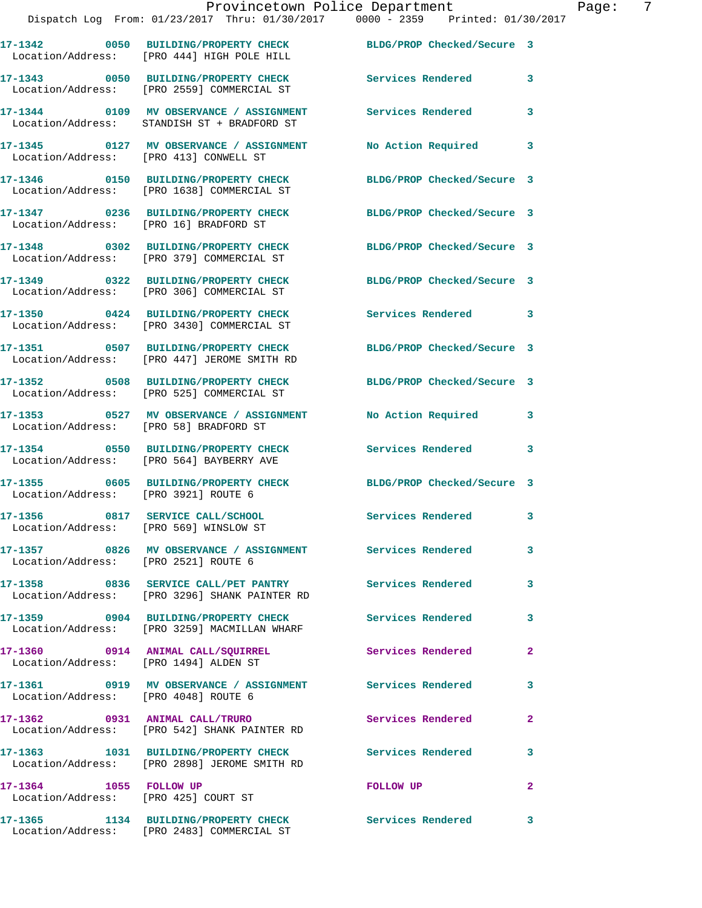**17-1343 0050 BUILDING/PROPERTY CHECK Services Rendered 3**  Location/Address: [PRO 2559] COMMERCIAL ST **17-1344 0109 MV OBSERVANCE / ASSIGNMENT Services Rendered 3** 

Location/Address: STANDISH ST + BRADFORD ST

**17-1345 0127 MV OBSERVANCE / ASSIGNMENT No Action Required 3**  Location/Address: [PRO 413] CONWELL ST

**17-1346 0150 BUILDING/PROPERTY CHECK BLDG/PROP Checked/Secure 3**  Location/Address: [PRO 1638] COMMERCIAL ST

**17-1347 0236 BUILDING/PROPERTY CHECK BLDG/PROP Checked/Secure 3**  Location/Address: [PRO 16] BRADFORD ST

Location/Address: [PRO 379] COMMERCIAL ST

Location/Address: [PRO 306] COMMERCIAL ST

**17-1353 0527 MV OBSERVANCE / ASSIGNMENT No Action Required 3**  Location/Address: [PRO 58] BRADFORD ST

Location/Address: [PRO 2521] ROUTE 6

Location/Address: [PRO 1494] ALDEN ST

Location/Address: [PRO 4048] ROUTE 6

Location/Address: [PRO 3430] COMMERCIAL ST

Location/Address: [PRO 447] JEROME SMITH RD

Location/Address: [PRO 525] COMMERCIAL ST

**17-1354 0550 BUILDING/PROPERTY CHECK Services Rendered 3** 

Location/Address: [PRO 564] BAYBERRY AVE

Location/Address: [PRO 3921] ROUTE 6

Location/Address: [PRO 569] WINSLOW ST

**17-1358 0836 SERVICE CALL/PET PANTRY Services Rendered 3**  Location/Address: [PRO 3296] SHANK PAINTER RD

**17-1359 0904 BUILDING/PROPERTY CHECK Services Rendered 3**  Location/Address: [PRO 3259] MACMILLAN WHARF

**17-1361 0919 MV OBSERVANCE / ASSIGNMENT Services Rendered 3** 

**17-1362 0931 ANIMAL CALL/TRURO Services Rendered 2**  Location/Address: [PRO 542] SHANK PAINTER RD

**17-1363 1031 BUILDING/PROPERTY CHECK Services Rendered 3**  Location/Address: [PRO 2898] JEROME SMITH RD

**17-1364 1055 FOLLOW UP FOLLOW UP 2**  Location/Address: [PRO 425] COURT ST

**17-1365 1134 BUILDING/PROPERTY CHECK Services Rendered 3**  Location/Address: [PRO 2483] COMMERCIAL ST

**17-1348 0302 BUILDING/PROPERTY CHECK BLDG/PROP Checked/Secure 3 17-1349 0322 BUILDING/PROPERTY CHECK BLDG/PROP Checked/Secure 3** 

**17-1350 0424 BUILDING/PROPERTY CHECK Services Rendered 3** 

**17-1351 0507 BUILDING/PROPERTY CHECK BLDG/PROP Checked/Secure 3** 

**17-1352 0508 BUILDING/PROPERTY CHECK BLDG/PROP Checked/Secure 3** 

**17-1355 0605 BUILDING/PROPERTY CHECK BLDG/PROP Checked/Secure 3** 

**17-1356 0817 SERVICE CALL/SCHOOL Services Rendered 3** 

**17-1357 0826 MV OBSERVANCE / ASSIGNMENT Services Rendered 3** 

**17-1360 0914 ANIMAL CALL/SQUIRREL Services Rendered 2**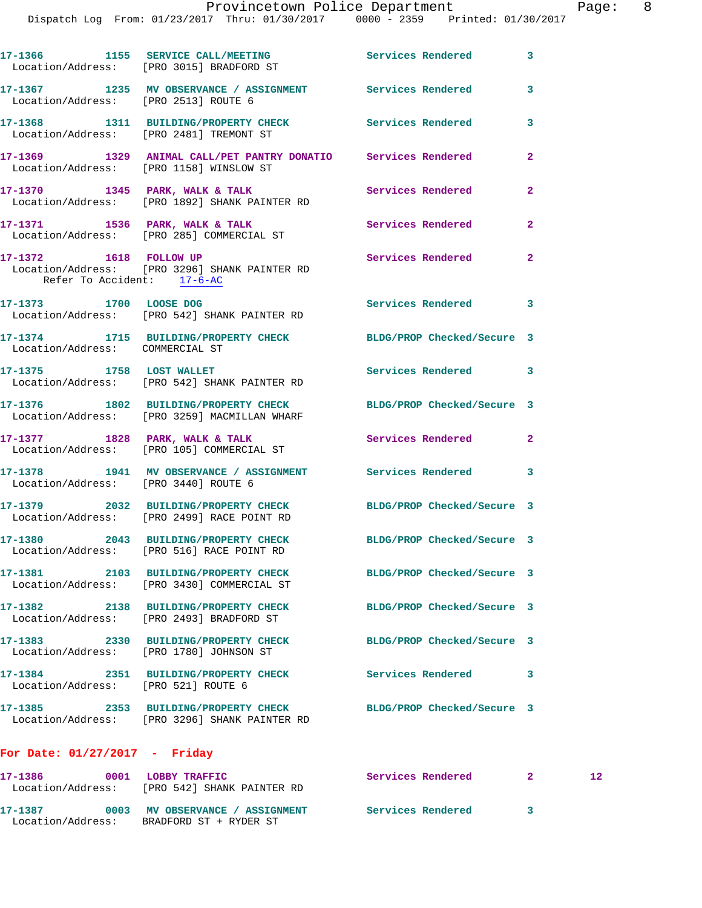Dispatch Log From: 01/23/2017 Thru: 01/30/2017 0000 - 2359 Printed: 01/30/2017

|                                      | 17-1366 1155 SERVICE CALL/MEETING Services Rendered<br>Location/Address: [PRO 3015] BRADFORD ST                  |                            | 3              |    |
|--------------------------------------|------------------------------------------------------------------------------------------------------------------|----------------------------|----------------|----|
|                                      | 17-1367 1235 MV OBSERVANCE / ASSIGNMENT Services Rendered<br>Location/Address: [PRO 2513] ROUTE 6                |                            | 3              |    |
|                                      | 17-1368 1311 BUILDING/PROPERTY CHECK Services Rendered<br>Location/Address: [PRO 2481] TREMONT ST                |                            | 3              |    |
|                                      | 17-1369 1329 ANIMAL CALL/PET PANTRY DONATIO Services Rendered<br>Location/Address: [PRO 1158] WINSLOW ST         |                            | $\overline{2}$ |    |
|                                      | 17-1370 1345 PARK, WALK & TALK Services Rendered Location/Address: [PRO 1892] SHANK PAINTER RD                   |                            | $\mathbf{2}$   |    |
|                                      | 17-1371 1536 PARK, WALK & TALK Services Rendered Location/Address: [PRO 285] COMMERCIAL ST                       |                            | $\mathbf{2}$   |    |
| Refer To Accident: 17-6-AC           | 17-1372 1618 FOLLOW UP<br>Location/Address: [PRO 3296] SHANK PAINTER RD                                          | Services Rendered          | $\overline{a}$ |    |
|                                      | 17-1373 1700 LOOSE DOG<br>Location/Address: [PRO 542] SHANK PAINTER RD                                           | Services Rendered          | 3              |    |
| Location/Address: COMMERCIAL ST      | 17-1374 1715 BUILDING/PROPERTY CHECK BLDG/PROP Checked/Secure 3                                                  |                            |                |    |
|                                      | 17-1375 1758 LOST WALLET<br>Location/Address: [PRO 542] SHANK PAINTER RD                                         | Services Rendered          | $\mathbf{3}$   |    |
|                                      | 17-1376 1802 BUILDING/PROPERTY CHECK BLDG/PROP Checked/Secure 3<br>Location/Address: [PRO 3259] MACMILLAN WHARF  |                            |                |    |
|                                      | 17-1377 1828 PARK, WALK & TALK STRINGER Services Rendered Location/Address: [PRO 105] COMMERCIAL ST              |                            | $\mathbf{2}$   |    |
| Location/Address: [PRO 3440] ROUTE 6 | 17-1378 1941 MV OBSERVANCE / ASSIGNMENT Services Rendered                                                        |                            | 3              |    |
|                                      | 17-1379 2032 BUILDING/PROPERTY CHECK BLDG/PROP Checked/Secure 3<br>Location/Address: [PRO 2499] RACE POINT RD    |                            |                |    |
|                                      | 17-1380 2043 BUILDING/PROPERTY CHECK BLDG/PROP Checked/Secure 3<br>Location/Address: [PRO 516] RACE POINT RD     |                            |                |    |
|                                      | 17-1381 2103 BUILDING/PROPERTY CHECK BLDG/PROP Checked/Secure 3<br>Location/Address: [PRO 3430] COMMERCIAL ST    |                            |                |    |
|                                      | 17-1382 2138 BUILDING/PROPERTY CHECK<br>Location/Address: [PRO 2493] BRADFORD ST                                 | BLDG/PROP Checked/Secure 3 |                |    |
|                                      | 17-1383 2330 BUILDING/PROPERTY CHECK<br>Location/Address: [PRO 1780] JOHNSON ST                                  | BLDG/PROP Checked/Secure 3 |                |    |
| Location/Address: [PRO 521] ROUTE 6  | 17-1384 2351 BUILDING/PROPERTY CHECK Services Rendered                                                           |                            | 3              |    |
|                                      | 17-1385 2353 BUILDING/PROPERTY CHECK BLDG/PROP Checked/Secure 3<br>Location/Address: [PRO 3296] SHANK PAINTER RD |                            |                |    |
| For Date: $01/27/2017$ - Friday      |                                                                                                                  |                            |                |    |
|                                      | 17-1386 0001 LOBBY TRAFFIC<br>Location/Address: [PRO 542] SHANK PAINTER RD                                       | Services Rendered          | $\mathbf{2}$   | 12 |
|                                      | 17-1387 0003 MV OBSERVANCE / ASSIGNMENT Services Rendered 3<br>Location/Address: BRADFORD ST + RYDER ST          |                            |                |    |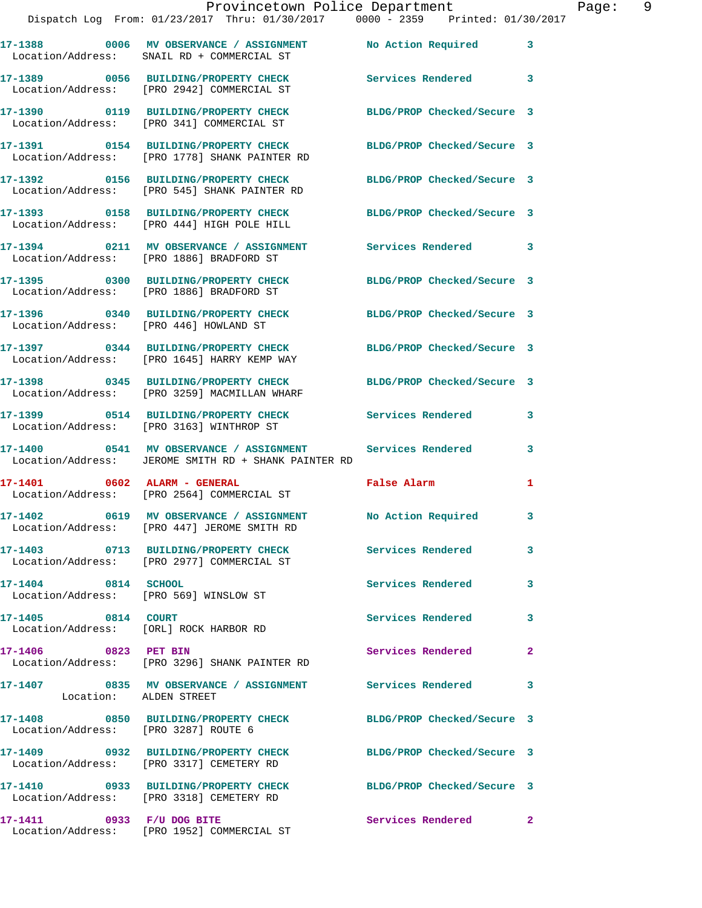|                     | Provincetown Police Department<br>Dispatch Log From: 01/23/2017 Thru: 01/30/2017 0000 - 2359 Printed: 01/30/2017   |                            |   |
|---------------------|--------------------------------------------------------------------------------------------------------------------|----------------------------|---|
|                     | 17-1388 60006 MV OBSERVANCE / ASSIGNMENT No Action Required<br>Location/Address: SNAIL RD + COMMERCIAL ST          |                            | 3 |
|                     | 17-1389 0056 BUILDING/PROPERTY CHECK<br>Location/Address: [PRO 2942] COMMERCIAL ST                                 | <b>Services Rendered</b>   | 3 |
|                     | 17-1390 0119 BUILDING/PROPERTY CHECK BLDG/PROP Checked/Secure 3<br>Location/Address: [PRO 341] COMMERCIAL ST       |                            |   |
|                     | 17-1391 0154 BUILDING/PROPERTY CHECK<br>Location/Address: [PRO 1778] SHANK PAINTER RD                              | BLDG/PROP Checked/Secure 3 |   |
|                     | 17-1392 0156 BUILDING/PROPERTY CHECK<br>Location/Address: [PRO 545] SHANK PAINTER RD                               | BLDG/PROP Checked/Secure 3 |   |
|                     | 17-1393 0158 BUILDING/PROPERTY CHECK BLDG/PROP Checked/Secure 3<br>Location/Address: [PRO 444] HIGH POLE HILL      |                            |   |
|                     | 17-1394 0211 MV OBSERVANCE / ASSIGNMENT Services Rendered<br>Location/Address: [PRO 1886] BRADFORD ST              |                            | 3 |
|                     | 17-1395 0300 BUILDING/PROPERTY CHECK BLDG/PROP Checked/Secure 3<br>Location/Address: [PRO 1886] BRADFORD ST        |                            |   |
|                     | 17-1396 0340 BUILDING/PROPERTY CHECK<br>Location/Address: [PRO 446] HOWLAND ST                                     | BLDG/PROP Checked/Secure 3 |   |
|                     | 17-1397 0344 BUILDING/PROPERTY CHECK BLDG/PROP Checked/Secure 3<br>Location/Address: [PRO 1645] HARRY KEMP WAY     |                            |   |
|                     | 17-1398 0345 BUILDING/PROPERTY CHECK<br>Location/Address: [PRO 3259] MACMILLAN WHARF                               | BLDG/PROP Checked/Secure 3 |   |
|                     | 17-1399 0514 BUILDING/PROPERTY CHECK Services Rendered<br>Location/Address: [PRO 3163] WINTHROP ST                 |                            | 3 |
|                     | 17-1400  0541 MV OBSERVANCE / ASSIGNMENT Services Rendered<br>Location/Address: JEROME SMITH RD + SHANK PAINTER RD |                            | 3 |
|                     | Location/Address: [PRO 2564] COMMERCIAL ST                                                                         | <b>False Alarm</b>         |   |
|                     | 17-1402 0619 MV OBSERVANCE / ASSIGNMENT<br>Location/Address: [PRO 447] JEROME SMITH RD                             | No Action Required         | 3 |
|                     | 17-1403 0713 BUILDING/PROPERTY CHECK<br>Location/Address: [PRO 2977] COMMERCIAL ST                                 | Services Rendered          | 3 |
| 17-1404 0814 SCHOOL | Location/Address: [PRO 569] WINSLOW ST                                                                             | Services Rendered          | 3 |
|                     |                                                                                                                    |                            |   |

**17-1405 0814 COURT Services Rendered 3**  Location/Address: [ORL] ROCK HARBOR RD

**17-1406 0823 PET BIN Services Rendered 2**  Location/Address: [PRO 3296] SHANK PAINTER RD

**17-1407 0835 MV OBSERVANCE / ASSIGNMENT Services Rendered 3**  Location: ALDEN STREET

Location/Address: [PRO 3287] ROUTE 6

**17-1409 0932 BUILDING/PROPERTY CHECK BLDG/PROP Checked/Secure 3** 

**17-1410 0933 BUILDING/PROPERTY CHECK BLDG/PROP Checked/Secure 3**  Location/Address: [PRO 3318] CEMETERY RD

**17-1408 0850 BUILDING/PROPERTY CHECK BLDG/PROP Checked/Secure 3** 

Location/Address: [PRO 3317] CEMETERY RD

17-1411 0933 F/U DOG BITE Services Rendered 2 Location/Address: [PRO 1952] COMMERCIAL ST

Page: 9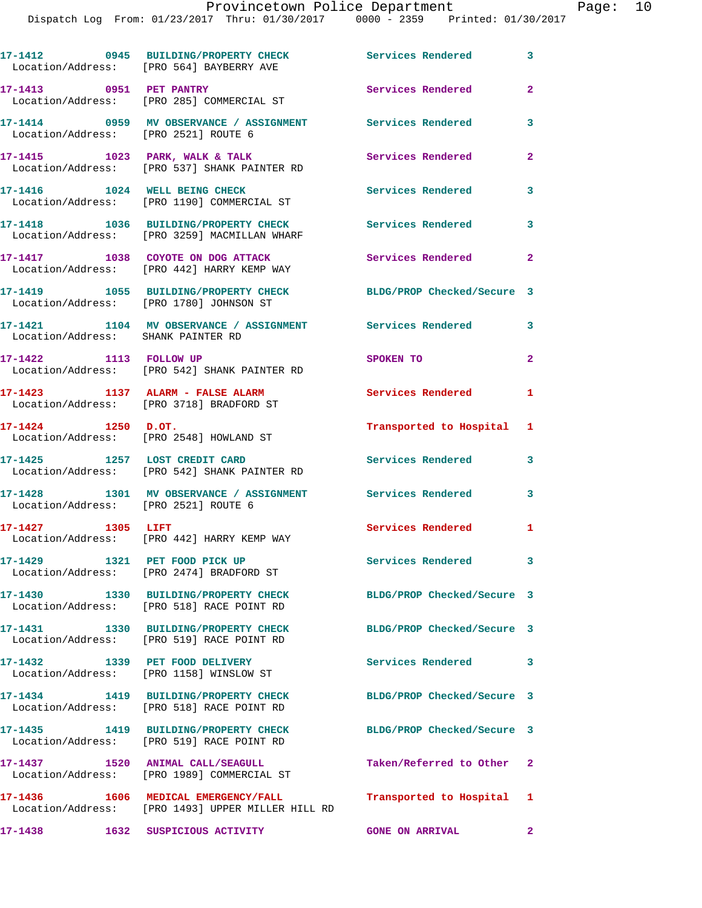Dispatch Log From: 01/23/2017 Thru: 01/30/2017 0000 - 2359 Printed: 01/30/2017

|                                        | 17-1412 0945 BUILDING/PROPERTY CHECK<br>Location/Address: [PRO 564] BAYBERRY AVE          | <b>Services Rendered</b>   | 3                          |
|----------------------------------------|-------------------------------------------------------------------------------------------|----------------------------|----------------------------|
| 17-1413 0951 PET PANTRY                | Location/Address: [PRO 285] COMMERCIAL ST                                                 | Services Rendered          | $\overline{2}$             |
| Location/Address: [PRO 2521] ROUTE 6   | 17-1414 0959 MV OBSERVANCE / ASSIGNMENT Services Rendered                                 |                            | 3                          |
|                                        | 17-1415 1023 PARK, WALK & TALK<br>Location/Address: [PRO 537] SHANK PAINTER RD            | Services Rendered          | $\mathbf{2}$               |
|                                        | 17-1416 1024 WELL BEING CHECK<br>Location/Address: [PRO 1190] COMMERCIAL ST               | <b>Services Rendered</b>   | 3                          |
|                                        | 17-1418 1036 BUILDING/PROPERTY CHECK<br>Location/Address: [PRO 3259] MACMILLAN WHARF      | Services Rendered          | 3                          |
|                                        | 17-1417 1038 COYOTE ON DOG ATTACK<br>Location/Address: [PRO 442] HARRY KEMP WAY           | Services Rendered          | $\mathbf{2}$               |
|                                        | 17-1419 1055 BUILDING/PROPERTY CHECK<br>Location/Address: [PRO 1780] JOHNSON ST           | BLDG/PROP Checked/Secure 3 |                            |
| Location/Address: SHANK PAINTER RD     | 17-1421 1104 MV OBSERVANCE / ASSIGNMENT Services Rendered                                 |                            | 3                          |
| 17-1422 1113 FOLLOW UP                 | Location/Address: [PRO 542] SHANK PAINTER RD                                              | SPOKEN TO                  | $\mathbf{2}$               |
|                                        | 17-1423 1137 ALARM - FALSE ALARM<br>Location/Address: [PRO 3718] BRADFORD ST              | Services Rendered          | $\blacksquare$             |
| $17 - 1424$ 1250 D.OT.                 | Location/Address: [PRO 2548] HOWLAND ST                                                   | Transported to Hospital 1  |                            |
| 17-1425 1257 LOST CREDIT CARD          | Location/Address: [PRO 542] SHANK PAINTER RD                                              | <b>Services Rendered</b>   | 3                          |
| Location/Address: [PRO 2521] ROUTE 6   | 17-1428 1301 MV OBSERVANCE / ASSIGNMENT                                                   | <b>Services Rendered</b>   | 3                          |
| 17-1427 1305 LIFT                      | Location/Address: [PRO 442] HARRY KEMP WAY                                                | Services Rendered 1        |                            |
|                                        | 17-1429 1321 PET FOOD PICK UP<br>Location/Address: [PRO 2474] BRADFORD ST                 | Services Rendered 3        |                            |
|                                        | 17-1430 1330 BUILDING/PROPERTY CHECK<br>Location/Address: [PRO 518] RACE POINT RD         | BLDG/PROP Checked/Secure 3 |                            |
|                                        | 17-1431 1330 BUILDING/PROPERTY CHECK<br>Location/Address: [PRO 519] RACE POINT RD         | BLDG/PROP Checked/Secure 3 |                            |
|                                        | 17-1432 1339 PET FOOD DELIVERY<br>Location/Address: [PRO 1158] WINSLOW ST                 | <b>Services Rendered</b>   | $\overline{\phantom{a}}$ 3 |
|                                        | 17-1434 1419 BUILDING/PROPERTY CHECK<br>Location/Address: [PRO 518] RACE POINT RD         | BLDG/PROP Checked/Secure 3 |                            |
|                                        | 17-1435   1419   BUILDING/PROPERTY CHECK<br>Location/Address: [PRO 519] RACE POINT RD     | BLDG/PROP Checked/Secure 3 |                            |
|                                        | 17-1437 1520 ANIMAL CALL/SEAGULL<br>Location/Address: [PRO 1989] COMMERCIAL ST            | Taken/Referred to Other 2  |                            |
|                                        | 17-1436  1606 MEDICAL EMERGENCY/FALL<br>Location/Address: [PRO 1493] UPPER MILLER HILL RD | Transported to Hospital 1  |                            |
| 17-1438    1632    SUSPICIOUS ACTIVITY |                                                                                           | <b>GONE ON ARRIVAL</b>     | $\mathbf{2}$               |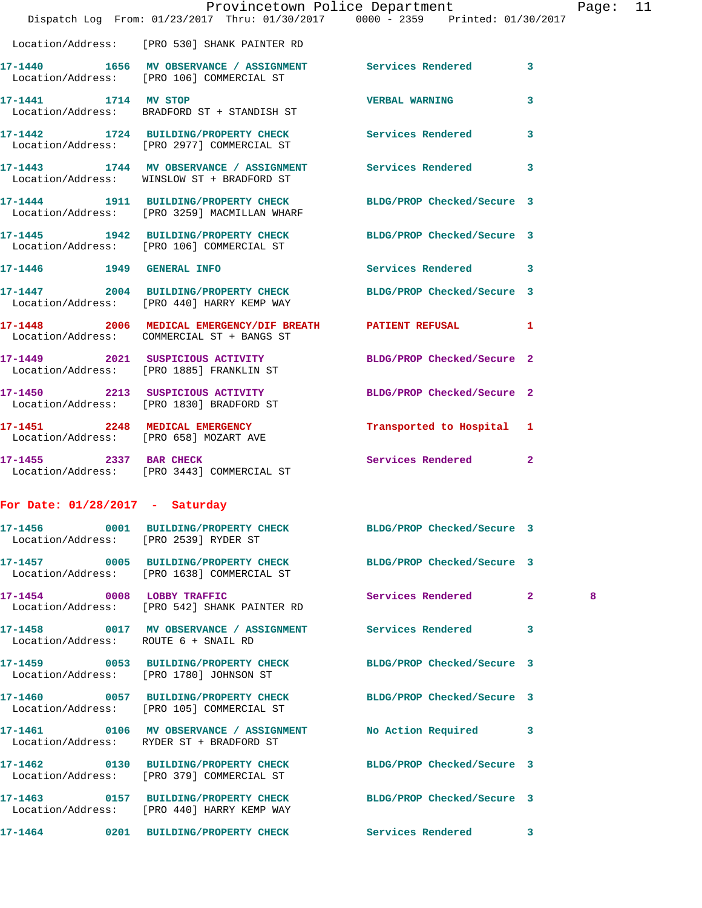|                                      |                                                                                                                                | Provincetown Police Department |              | Page: 11 |  |
|--------------------------------------|--------------------------------------------------------------------------------------------------------------------------------|--------------------------------|--------------|----------|--|
|                                      | Dispatch Log From: 01/23/2017 Thru: 01/30/2017 0000 - 2359 Printed: 01/30/2017<br>Location/Address: [PRO 530] SHANK PAINTER RD |                                |              |          |  |
|                                      | 17-1440 1656 MV OBSERVANCE / ASSIGNMENT Services Rendered 3<br>Location/Address: [PRO 106] COMMERCIAL ST                       |                                |              |          |  |
|                                      | 17-1441 1714 MV STOP<br>Location/Address: BRADFORD ST + STANDISH ST                                                            | <b>VERBAL WARNING</b>          | $\mathbf{3}$ |          |  |
|                                      | 17-1442 1724 BUILDING/PROPERTY CHECK Services Rendered 3<br>Location/Address: [PRO 2977] COMMERCIAL ST                         |                                |              |          |  |
|                                      | 17-1443 1744 MV OBSERVANCE / ASSIGNMENT Services Rendered 3<br>Location/Address: WINSLOW ST + BRADFORD ST                      |                                |              |          |  |
|                                      | 17-1444 1911 BUILDING/PROPERTY CHECK BLDG/PROP Checked/Secure 3<br>Location/Address: [PRO 3259] MACMILLAN WHARF                |                                |              |          |  |
|                                      | 17-1445 1942 BUILDING/PROPERTY CHECK BLDG/PROP Checked/Secure 3<br>Location/Address: [PRO 106] COMMERCIAL ST                   |                                |              |          |  |
|                                      | 17-1446   1949   GENERAL INFO                                                                                                  | Services Rendered 3            |              |          |  |
|                                      | 17-1447 2004 BUILDING/PROPERTY CHECK BLDG/PROP Checked/Secure 3<br>Location/Address: [PRO 440] HARRY KEMP WAY                  |                                |              |          |  |
|                                      | 17-1448 2006 MEDICAL EMERGENCY/DIF BREATH PATIENT REFUSAL 1<br>Location/Address: COMMERCIAL ST + BANGS ST                      |                                |              |          |  |
|                                      | 17-1449 2021 SUSPICIOUS ACTIVITY BLDG/PROP Checked/Secure 2<br>Location/Address: [PRO 1885] FRANKLIN ST                        |                                |              |          |  |
|                                      | 17-1450 2213 SUSPICIOUS ACTIVITY<br>Location/Address: [PRO 1830] BRADFORD ST                                                   | BLDG/PROP Checked/Secure 2     |              |          |  |
|                                      | 17-1451 2248 MEDICAL EMERGENCY Transported to Hospital 1<br>Location/Address: [PRO 658] MOZART AVE                             |                                |              |          |  |
|                                      | 17-1455 2337 BAR CHECK<br>Location/Address: [PRO 3443] COMMERCIAL ST                                                           | Services Rendered 2            |              |          |  |
| For Date: $01/28/2017$ - Saturday    |                                                                                                                                |                                |              |          |  |
|                                      | 17-1456 0001 BUILDING/PROPERTY CHECK BLDG/PROP Checked/Secure 3<br>Location/Address: [PRO 2539] RYDER ST                       |                                |              |          |  |
|                                      | 17-1457 0005 BUILDING/PROPERTY CHECK<br>Location/Address: [PRO 1638] COMMERCIAL ST                                             | BLDG/PROP Checked/Secure 3     |              |          |  |
|                                      | 17-1454 0008 LOBBY TRAFFIC<br>Location/Address: [PRO 542] SHANK PAINTER RD                                                     | Services Rendered 2            |              | 8        |  |
| Location/Address: ROUTE 6 + SNAIL RD | 17-1458 0017 MV OBSERVANCE / ASSIGNMENT Services Rendered                                                                      |                                | 3            |          |  |
|                                      | 17-1459 0053 BUILDING/PROPERTY CHECK BLDG/PROP Checked/Secure 3<br>Location/Address: [PRO 1780] JOHNSON ST                     |                                |              |          |  |
|                                      | 17-1460 0057 BUILDING/PROPERTY CHECK BLDG/PROP Checked/Secure 3<br>Location/Address: [PRO 105] COMMERCIAL ST                   |                                |              |          |  |
|                                      | 17-1461 0106 MV OBSERVANCE / ASSIGNMENT<br>Location/Address: RYDER ST + BRADFORD ST                                            | No Action Required 3           |              |          |  |
|                                      | 17-1462 0130 BUILDING/PROPERTY CHECK BLDG/PROP Checked/Secure 3<br>Location/Address: [PRO 379] COMMERCIAL ST                   |                                |              |          |  |
|                                      | 17-1463 0157 BUILDING/PROPERTY CHECK<br>Location/Address: [PRO 440] HARRY KEMP WAY                                             | BLDG/PROP Checked/Secure 3     |              |          |  |
|                                      | 17-1464 0201 BUILDING/PROPERTY CHECK Services Rendered 3                                                                       |                                |              |          |  |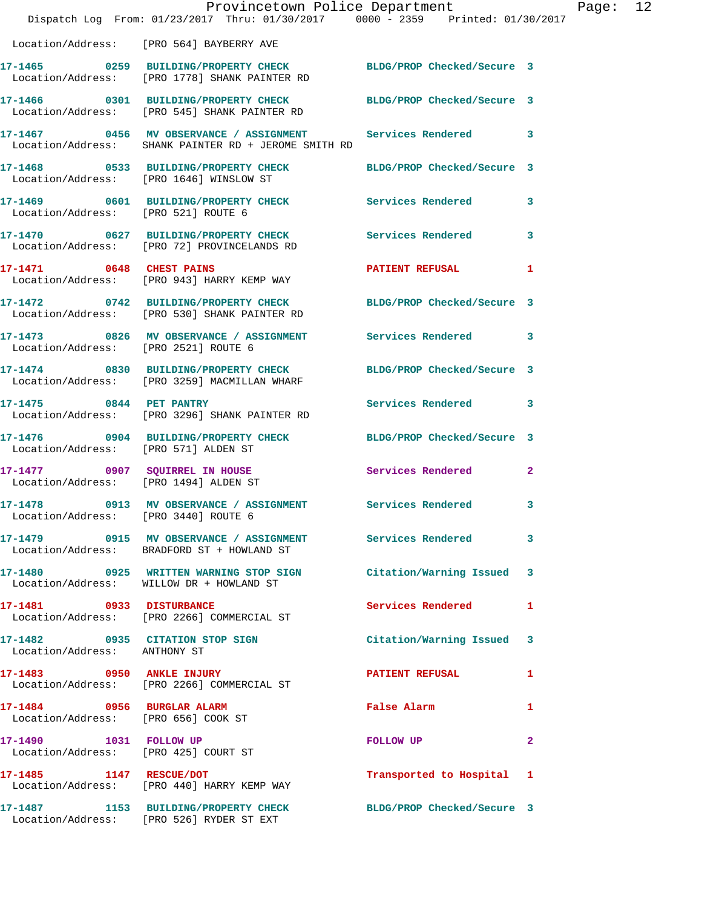|                                                                      | Provincetown Police Department<br>Dispatch Log From: 01/23/2017 Thru: 01/30/2017 0000 - 2359 Printed: 01/30/2017  |                            |              |
|----------------------------------------------------------------------|-------------------------------------------------------------------------------------------------------------------|----------------------------|--------------|
|                                                                      | Location/Address: [PRO 564] BAYBERRY AVE                                                                          |                            |              |
|                                                                      | 17-1465 0259 BUILDING/PROPERTY CHECK BLDG/PROP Checked/Secure 3<br>Location/Address: [PRO 1778] SHANK PAINTER RD  |                            |              |
|                                                                      | 17-1466 0301 BUILDING/PROPERTY CHECK BLDG/PROP Checked/Secure 3<br>Location/Address: [PRO 545] SHANK PAINTER RD   |                            |              |
|                                                                      | 17-1467 6456 MV OBSERVANCE / ASSIGNMENT Services Rendered<br>Location/Address: SHANK PAINTER RD + JEROME SMITH RD |                            | 3            |
|                                                                      | 17-1468 0533 BUILDING/PROPERTY CHECK BLDG/PROP Checked/Secure 3<br>Location/Address: [PRO 1646] WINSLOW ST        |                            |              |
| Location/Address: [PRO 521] ROUTE 6                                  | 17-1469 0601 BUILDING/PROPERTY CHECK Services Rendered                                                            |                            | 3            |
|                                                                      | 17-1470 0627 BUILDING/PROPERTY CHECK<br>Location/Address: [PRO 72] PROVINCELANDS RD                               | <b>Services Rendered</b>   | 3            |
| 17-1471 0648 CHEST PAINS                                             | Location/Address: [PRO 943] HARRY KEMP WAY                                                                        | <b>PATIENT REFUSAL</b>     | 1            |
|                                                                      | 17-1472 0742 BUILDING/PROPERTY CHECK<br>Location/Address: [PRO 530] SHANK PAINTER RD                              | BLDG/PROP Checked/Secure 3 |              |
| Location/Address: [PRO 2521] ROUTE 6                                 | 17-1473 0826 MV OBSERVANCE / ASSIGNMENT Services Rendered                                                         |                            | 3            |
|                                                                      | 17-1474 0830 BUILDING/PROPERTY CHECK<br>Location/Address: [PRO 3259] MACMILLAN WHARF                              | BLDG/PROP Checked/Secure 3 |              |
| 17-1475 0844 PET PANTRY                                              | Location/Address: [PRO 3296] SHANK PAINTER RD                                                                     | <b>Services Rendered</b>   | 3            |
| Location/Address: [PRO 571] ALDEN ST                                 | 17-1476 0904 BUILDING/PROPERTY CHECK                                                                              | BLDG/PROP Checked/Secure 3 |              |
| Location/Address: [PRO 1494] ALDEN ST                                | 17-1477 0907 SQUIRREL IN HOUSE                                                                                    | Services Rendered          | $\mathbf{2}$ |
| Location/Address: [PRO 3440] ROUTE 6                                 | 17-1478  0913 MV OBSERVANCE / ASSIGNMENT Services Rendered                                                        |                            | 3            |
|                                                                      | 17-1479   0915 MV OBSERVANCE / ASSIGNMENT   Services Rendered<br>Location/Address: BRADFORD ST + HOWLAND ST       |                            | 3            |
|                                                                      | 17-1480 0925 WRITTEN WARNING STOP SIGN<br>Location/Address: WILLOW DR + HOWLAND ST                                | Citation/Warning Issued    | 3            |
| 17-1481 0933 DISTURBANCE                                             | Location/Address: [PRO 2266] COMMERCIAL ST                                                                        | <b>Services Rendered</b>   | 1            |
| Location/Address: ANTHONY ST                                         | 17-1482 0935 CITATION STOP SIGN                                                                                   | Citation/Warning Issued    | 3            |
|                                                                      | 17-1483 0950 ANKLE INJURY<br>Location/Address: [PRO 2266] COMMERCIAL ST                                           | <b>PATIENT REFUSAL</b>     | 1            |
| 17-1484 0956 BURGLAR ALARM<br>Location/Address: [PRO 656] COOK ST    |                                                                                                                   | False Alarm                | 1            |
| 17-1490    1031    FOLLOW UP<br>Location/Address: [PRO 425] COURT ST |                                                                                                                   | FOLLOW UP                  | 2            |
| 17-1485 1147 RESCUE/DOT                                              | Location/Address: [PRO 440] HARRY KEMP WAY                                                                        | Transported to Hospital    | 1            |
|                                                                      | 17-1487 1153 BUILDING/PROPERTY CHECK<br>Location/Address: [PRO 526] RYDER ST EXT                                  | BLDG/PROP Checked/Secure 3 |              |

Page:  $12$ <br> $17$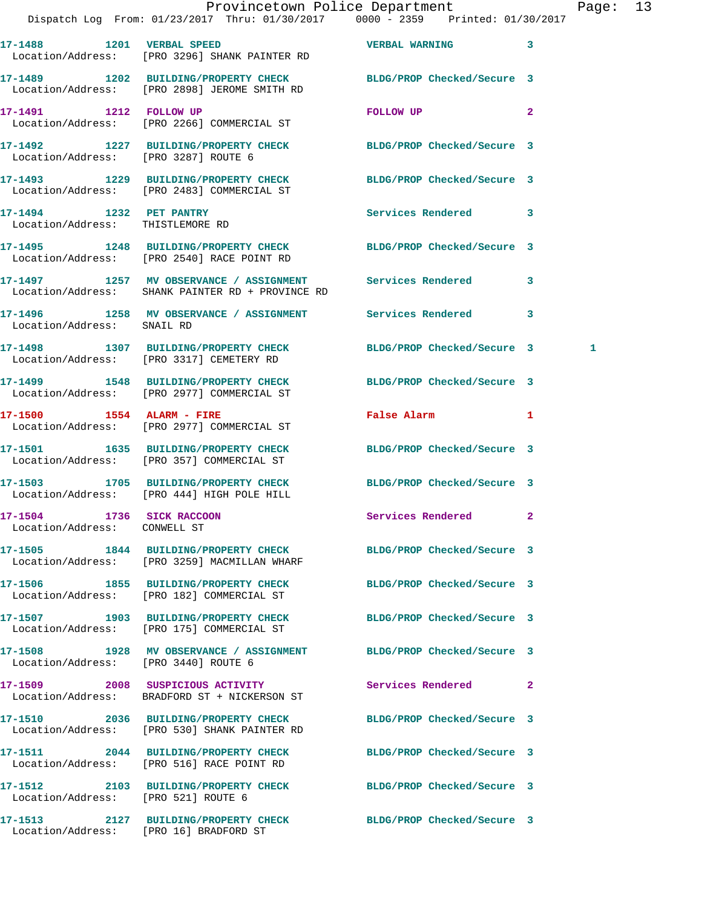|                                  | Provincetown Police Department                                                 |                          |              |
|----------------------------------|--------------------------------------------------------------------------------|--------------------------|--------------|
|                                  | Dispatch Log From: 01/23/2017 Thru: 01/30/2017 0000 - 2359 Printed: 01/30/2017 |                          |              |
|                                  |                                                                                |                          |              |
|                                  |                                                                                |                          | 3            |
|                                  | Location/Address: [PRO 3296] SHANK PAINTER RD                                  |                          |              |
|                                  |                                                                                |                          |              |
|                                  | 17-1489 1202 BUILDING/PROPERTY CHECK BLDG/PROP Checked/Secure 3                |                          |              |
|                                  | Location/Address: [PRO 2898] JEROME SMITH RD                                   |                          |              |
|                                  |                                                                                | <b>FOLLOW UP</b>         | $\mathbf{2}$ |
|                                  | Location/Address: [PRO 2266] COMMERCIAL ST                                     |                          |              |
|                                  |                                                                                |                          |              |
|                                  | 17-1492 1227 BUILDING/PROPERTY CHECK BLDG/PROP Checked/Secure 3                |                          |              |
|                                  | Location/Address: [PRO 3287] ROUTE 6                                           |                          |              |
|                                  |                                                                                |                          |              |
|                                  | 17-1493 1229 BUILDING/PROPERTY CHECK BLDG/PROP Checked/Secure 3                |                          |              |
|                                  | Location/Address: [PRO 2483] COMMERCIAL ST                                     |                          |              |
|                                  |                                                                                | <b>Services Rendered</b> | 3            |
| Location/Address: THISTLEMORE RD |                                                                                |                          |              |
|                                  |                                                                                |                          |              |

Location/Address: [PRO 530] SHANK PAINTER RD

Location/Address: [PRO 516] RACE POINT RD

Location/Address: [PRO 521] ROUTE 6

Location/Address: [PRO 16] BRADFORD ST

**17-1510 2036 BUILDING/PROPERTY CHECK BLDG/PROP Checked/Secure 3** 

**17-1511 2044 BUILDING/PROPERTY CHECK BLDG/PROP Checked/Secure 3** 

Page:  $13$ 

|                                                             | 17-1489 1202 BUILDING/PROPERTY CHECK BLDG/PROP Checked/Secure 3<br>Location/Address: [PRO 2898] JEROME SMITH RD |                            |              |
|-------------------------------------------------------------|-----------------------------------------------------------------------------------------------------------------|----------------------------|--------------|
| 17-1491    1212    FOLLOW UP                                | Location/Address: [PRO 2266] COMMERCIAL ST                                                                      | FOLLOW UP                  | $\mathbf{2}$ |
| Location/Address: [PRO 3287] ROUTE 6                        | 17-1492 1227 BUILDING/PROPERTY CHECK                                                                            | BLDG/PROP Checked/Secure 3 |              |
|                                                             | 17-1493 1229 BUILDING/PROPERTY CHECK BLDG/PROP Checked/Secure 3<br>Location/Address: [PRO 2483] COMMERCIAL ST   |                            |              |
| 17-1494 1232 PET PANTRY<br>Location/Address: THISTLEMORE RD |                                                                                                                 | <b>Services Rendered</b>   | 3            |
|                                                             | 17-1495 1248 BUILDING/PROPERTY CHECK BLDG/PROP Checked/Secure 3<br>Location/Address: [PRO 2540] RACE POINT RD   |                            |              |
|                                                             | 17-1497 1257 MV OBSERVANCE / ASSIGNMENT Services Rendered<br>Location/Address: SHANK PAINTER RD + PROVINCE RD   |                            | 3            |
| Location/Address: SNAIL RD                                  | 17-1496  1258 MV OBSERVANCE / ASSIGNMENT Services Rendered                                                      |                            | 3            |
|                                                             | 17-1498 1307 BUILDING/PROPERTY CHECK<br>Location/Address: [PRO 3317] CEMETERY RD                                | BLDG/PROP Checked/Secure 3 | 1            |
|                                                             | 17-1499 1548 BUILDING/PROPERTY CHECK<br>Location/Address: [PRO 2977] COMMERCIAL ST                              | BLDG/PROP Checked/Secure 3 |              |
|                                                             | $17-1500$ 1554 ALARM - FIRE<br>Location/Address: [PRO 2977] COMMERCIAL ST                                       | False Alarm                | 1            |
|                                                             | 17-1501 1635 BUILDING/PROPERTY CHECK<br>Location/Address: [PRO 357] COMMERCIAL ST                               | BLDG/PROP Checked/Secure 3 |              |
|                                                             | 17-1503 1705 BUILDING/PROPERTY CHECK<br>Location/Address: [PRO 444] HIGH POLE HILL                              | BLDG/PROP Checked/Secure 3 |              |
| 17-1504 1736 SICK RACCOON<br>Location/Address: CONWELL ST   |                                                                                                                 | Services Rendered 2        |              |
|                                                             | 17-1505 1844 BUILDING/PROPERTY CHECK BLDG/PROP Checked/Secure 3<br>Location/Address: [PRO 3259] MACMILLAN WHARF |                            |              |
| 17-1506                                                     | 1855 BUILDING/PROPERTY CHECK<br>Location/Address: [PRO 182] COMMERCIAL ST                                       | BLDG/PROP Checked/Secure 3 |              |
|                                                             | 17-1507 1903 BUILDING/PROPERTY CHECK<br>Location/Address: [PRO 175] COMMERCIAL ST                               | BLDG/PROP Checked/Secure 3 |              |
| 17-1508<br>Location/Address: [PRO 3440] ROUTE 6             | 1928 MV OBSERVANCE / ASSIGNMENT                                                                                 | BLDG/PROP Checked/Secure 3 |              |
|                                                             | 17-1509 2008 SUSPICIOUS ACTIVITY<br>Location/Address: BRADFORD ST + NICKERSON ST                                | Services Rendered          | 2            |

**17-1512 2103 BUILDING/PROPERTY CHECK BLDG/PROP Checked/Secure 3** 

**17-1513 2127 BUILDING/PROPERTY CHECK BLDG/PROP Checked/Secure 3**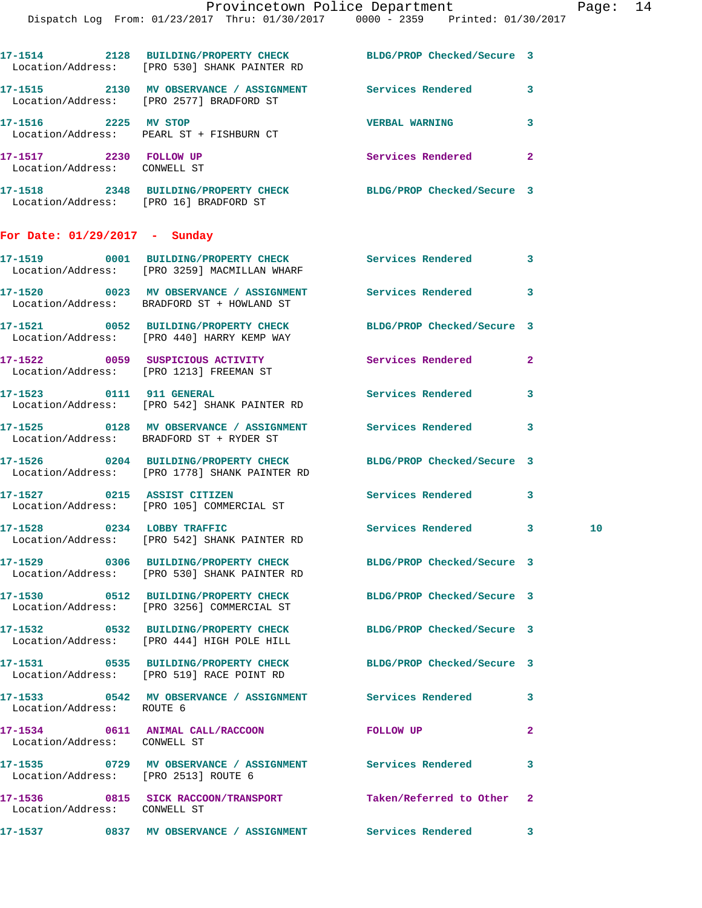|                                                        | 17-1514 2128 BUILDING/PROPERTY CHECK BLDG/PROP Checked/Secure 3<br>Location/Address: [PRO 530] SHANK PAINTER RD  |                          |              |    |
|--------------------------------------------------------|------------------------------------------------------------------------------------------------------------------|--------------------------|--------------|----|
|                                                        | 17-1515 2130 MV OBSERVANCE / ASSIGNMENT Services Rendered<br>Location/Address: [PRO 2577] BRADFORD ST            |                          | 3            |    |
|                                                        | 17-1516 2225 MV STOP<br>Location/Address: PEARL ST + FISHBURN CT                                                 | <b>VERBAL WARNING</b>    | 3            |    |
| 17-1517 2230 FOLLOW UP<br>Location/Address: CONWELL ST |                                                                                                                  | Services Rendered        | $\mathbf{2}$ |    |
|                                                        | 17-1518 2348 BUILDING/PROPERTY CHECK BLDG/PROP Checked/Secure 3<br>Location/Address: [PRO 16] BRADFORD ST        |                          |              |    |
| For Date: $01/29/2017$ - Sunday                        |                                                                                                                  |                          |              |    |
|                                                        | 17-1519 0001 BUILDING/PROPERTY CHECK Services Rendered 3<br>Location/Address: [PRO 3259] MACMILLAN WHARF         |                          |              |    |
|                                                        | 17-1520 0023 MV OBSERVANCE / ASSIGNMENT Services Rendered<br>Location/Address: BRADFORD ST + HOWLAND ST          |                          | 3            |    |
|                                                        | 17-1521 0052 BUILDING/PROPERTY CHECK BLDG/PROP Checked/Secure 3<br>Location/Address: [PRO 440] HARRY KEMP WAY    |                          |              |    |
|                                                        | 17-1522 0059 SUSPICIOUS ACTIVITY<br>Location/Address: [PRO 1213] FREEMAN ST                                      | Services Rendered        | $\mathbf{2}$ |    |
|                                                        | 17-1523 0111 911 GENERAL<br>Location/Address: [PRO 542] SHANK PAINTER RD                                         | <b>Services Rendered</b> | 3            |    |
|                                                        | 17-1525 0128 MV OBSERVANCE / ASSIGNMENT Services Rendered<br>Location/Address: BRADFORD ST + RYDER ST            |                          | 3            |    |
|                                                        | 17-1526 0204 BUILDING/PROPERTY CHECK BLDG/PROP Checked/Secure 3<br>Location/Address: [PRO 1778] SHANK PAINTER RD |                          |              |    |
|                                                        | 17-1527 0215 ASSIST CITIZEN<br>Location/Address: [PRO 105] COMMERCIAL ST                                         | <b>Services Rendered</b> | 3            |    |
|                                                        | 17-1528 0234 LOBBY TRAFFIC<br>Location/Address: [PRO 542] SHANK PAINTER RD                                       | Services Rendered 3      |              | 10 |
|                                                        | 17-1529 0306 BUILDING/PROPERTY CHECK BLDG/PROP Checked/Secure 3<br>Location/Address: [PRO 530] SHANK PAINTER RD  |                          |              |    |
|                                                        | 17-1530 0512 BUILDING/PROPERTY CHECK BLDG/PROP Checked/Secure 3<br>Location/Address: [PRO 3256] COMMERCIAL ST    |                          |              |    |
|                                                        | 17-1532 0532 BUILDING/PROPERTY CHECK BLDG/PROP Checked/Secure 3<br>Location/Address: [PRO 444] HIGH POLE HILL    |                          |              |    |
|                                                        | 17-1531 0535 BUILDING/PROPERTY CHECK BLDG/PROP Checked/Secure 3<br>Location/Address: [PRO 519] RACE POINT RD     |                          |              |    |
| Location/Address: ROUTE 6                              | 17-1533 6542 MV OBSERVANCE / ASSIGNMENT Services Rendered                                                        |                          | 3            |    |
| Location/Address: CONWELL ST                           | 17-1534 0611 ANIMAL CALL/RACCOON FOLLOW UP                                                                       |                          | $\mathbf{2}$ |    |
|                                                        | 17-1535 0729 MV OBSERVANCE / ASSIGNMENT Services Rendered<br>Location/Address: [PRO 2513] ROUTE 6                |                          | 3            |    |
| Location/Address: CONWELL ST                           | 17-1536 0815 SICK RACCOON/TRANSPORT Taken/Referred to Other                                                      |                          | $\mathbf{2}$ |    |
|                                                        | 17-1537 		 0837 MV OBSERVANCE / ASSIGNMENT Services Rendered 3                                                   |                          |              |    |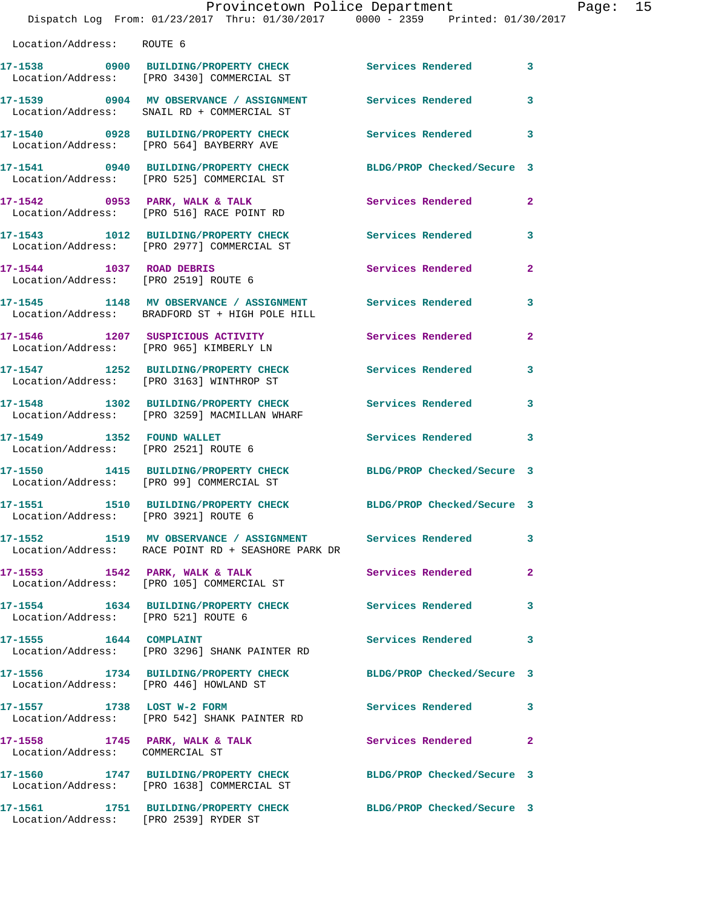|                                                                   | Provincetown Police Department                                                                                  |                            |                |
|-------------------------------------------------------------------|-----------------------------------------------------------------------------------------------------------------|----------------------------|----------------|
|                                                                   | Dispatch Log From: 01/23/2017 Thru: 01/30/2017 0000 - 2359 Printed: 01/30/2017                                  |                            |                |
| Location/Address: ROUTE 6                                         |                                                                                                                 |                            |                |
|                                                                   | 17-1538 0900 BUILDING/PROPERTY CHECK Services Rendered<br>Location/Address: [PRO 3430] COMMERCIAL ST            |                            | 3              |
|                                                                   | 17-1539 0904 MV OBSERVANCE / ASSIGNMENT<br>Location/Address: SNAIL RD + COMMERCIAL ST                           | <b>Services Rendered</b>   | 3              |
|                                                                   | 17-1540 0928 BUILDING/PROPERTY CHECK<br>Location/Address: [PRO 564] BAYBERRY AVE                                | <b>Services Rendered</b>   | 3              |
|                                                                   | 17-1541 0940 BUILDING/PROPERTY CHECK<br>Location/Address: [PRO 525] COMMERCIAL ST                               | BLDG/PROP Checked/Secure 3 |                |
|                                                                   | $17-1542$ 0953 PARK, WALK & TALK<br>Location/Address: [PRO 516] RACE POINT RD                                   | Services Rendered          | $\overline{2}$ |
|                                                                   | 17-1543 1012 BUILDING/PROPERTY CHECK Services Rendered<br>Location/Address: [PRO 2977] COMMERCIAL ST            |                            | 3              |
| 17-1544 1037 ROAD DEBRIS<br>Location/Address: [PRO 2519] ROUTE 6  |                                                                                                                 | <b>Services Rendered</b>   | $\mathbf{2}$   |
|                                                                   | 17-1545 1148 MV OBSERVANCE / ASSIGNMENT Services Rendered<br>Location/Address: BRADFORD ST + HIGH POLE HILL     |                            | 3              |
|                                                                   | 17-1546 1207 SUSPICIOUS ACTIVITY<br>Location/Address: [PRO 965] KIMBERLY LN                                     | Services Rendered          | $\mathbf{2}$   |
|                                                                   | 17-1547 1252 BUILDING/PROPERTY CHECK<br>Location/Address: [PRO 3163] WINTHROP ST                                | <b>Services Rendered</b>   | 3              |
|                                                                   | 17-1548 1302 BUILDING/PROPERTY CHECK<br>Location/Address: [PRO 3259] MACMILLAN WHARF                            | <b>Services Rendered</b>   | 3              |
| 17-1549 1352 FOUND WALLET<br>Location/Address: [PRO 2521] ROUTE 6 |                                                                                                                 | Services Rendered          | 3              |
|                                                                   | 17-1550 1415 BUILDING/PROPERTY CHECK<br>Location/Address: [PRO 99] COMMERCIAL ST                                | BLDG/PROP Checked/Secure 3 |                |
| Location/Address: [PRO 3921] ROUTE 6                              | 17-1551 1510 BUILDING/PROPERTY CHECK                                                                            | BLDG/PROP Checked/Secure 3 |                |
|                                                                   | 17-1552 1519 MV OBSERVANCE / ASSIGNMENT Services Rendered<br>Location/Address: RACE POINT RD + SEASHORE PARK DR |                            | 3              |
|                                                                   | 17-1553 1542 PARK, WALK & TALK<br>Location/Address: [PRO 105] COMMERCIAL ST                                     | Services Rendered          | $\overline{a}$ |
| Location/Address: [PRO 521] ROUTE 6                               | 17-1554 1634 BUILDING/PROPERTY CHECK                                                                            | <b>Services Rendered</b>   | 3              |
| 17-1555 1644 COMPLAINT                                            | Location/Address: [PRO 3296] SHANK PAINTER RD                                                                   | Services Rendered          | 3              |
|                                                                   | 17-1556 1734 BUILDING/PROPERTY CHECK<br>Location/Address: [PRO 446] HOWLAND ST                                  | BLDG/PROP Checked/Secure 3 |                |
| 17-1557 1738 LOST W-2 FORM                                        | Location/Address: [PRO 542] SHANK PAINTER RD                                                                    | Services Rendered          | 3              |
| 17-1558 1745 PARK, WALK & TALK<br>Location/Address: COMMERCIAL ST |                                                                                                                 | Services Rendered          | $\mathbf{2}$   |
|                                                                   | 17-1560 1747 BUILDING/PROPERTY CHECK<br>Location/Address: [PRO 1638] COMMERCIAL ST                              | BLDG/PROP Checked/Secure 3 |                |
|                                                                   | 17-1561 1751 BUILDING/PROPERTY CHECK                                                                            | BLDG/PROP Checked/Secure 3 |                |

Location/Address: [PRO 2539] RYDER ST

Page:  $15$ <br> $17$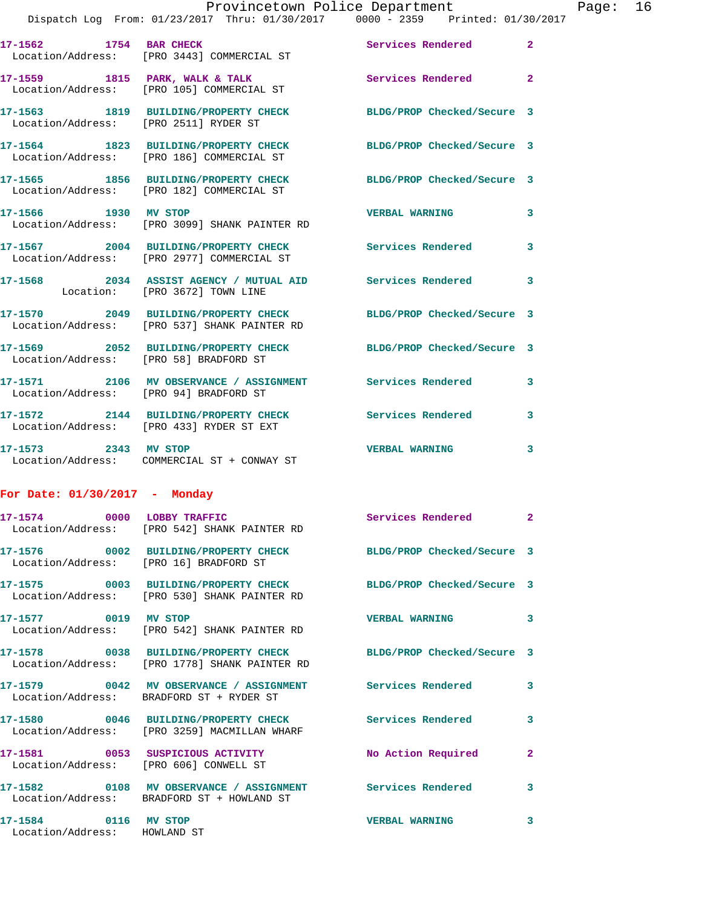|                                    |  | Provincetown Police Department |  |                                 | Page: $16$ |  |
|------------------------------------|--|--------------------------------|--|---------------------------------|------------|--|
| com: 01/23/2017   Thru: 01/30/2017 |  |                                |  | 0000 - 2359 Printed: 01/30/2017 |            |  |

|                                        | Dispatch Log From: 01/23/2017 Thru: 01/30/2017 0000 - 2359 Printed: 01/30/                                   |                            |                         |
|----------------------------------------|--------------------------------------------------------------------------------------------------------------|----------------------------|-------------------------|
| 17-1562 1754 BAR CHECK                 | Location/Address: [PRO 3443] COMMERCIAL ST                                                                   | Services Rendered 2        |                         |
|                                        | 17-1559 1815 PARK, WALK & TALK<br>Location/Address: [PRO 105] COMMERCIAL ST                                  | Services Rendered 2        |                         |
|                                        | 17-1563 1819 BUILDING/PROPERTY CHECK BLDG/PROP Checked/Secure 3<br>Location/Address: [PRO 2511] RYDER ST     |                            |                         |
|                                        | 17-1564 1823 BUILDING/PROPERTY CHECK BLDG/PROP Checked/Secure 3<br>Location/Address: [PRO 186] COMMERCIAL ST |                            |                         |
|                                        | 17-1565 1856 BUILDING/PROPERTY CHECK<br>Location/Address: [PRO 182] COMMERCIAL ST                            | BLDG/PROP Checked/Secure 3 |                         |
|                                        | 17-1566 1930 MV STOP<br>Location/Address: [PRO 3099] SHANK PAINTER RD                                        | <b>VERBAL WARNING</b>      | $\mathbf{3}$            |
|                                        | 17-1567 2004 BUILDING/PROPERTY CHECK<br>Location/Address: [PRO 2977] COMMERCIAL ST                           | Services Rendered 3        |                         |
|                                        | 17-1568 2034 ASSIST AGENCY / MUTUAL AID Services Rendered 3<br>Location: [PRO 3672] TOWN LINE                |                            |                         |
|                                        | 17-1570 2049 BUILDING/PROPERTY CHECK<br>Location/Address: [PRO 537] SHANK PAINTER RD                         | BLDG/PROP Checked/Secure 3 |                         |
|                                        | 17-1569 2052 BUILDING/PROPERTY CHECK BLDG/PROP Checked/Secure 3<br>Location/Address: [PRO 58] BRADFORD ST    |                            |                         |
| Location/Address: [PRO 94] BRADFORD ST | 17-1571 2106 MV OBSERVANCE / ASSIGNMENT Services Rendered                                                    |                            | $\overline{\mathbf{3}}$ |
|                                        | 17-1572 2144 BUILDING/PROPERTY CHECK Services Rendered<br>Location/Address: [PRO 433] RYDER ST EXT           |                            | $\overline{\mathbf{3}}$ |
| 17-1573 2343 MV STOP                   | Location/Address: COMMERCIAL ST + CONWAY ST                                                                  | <b>VERBAL WARNING</b>      | $\mathbf{3}$            |
|                                        |                                                                                                              |                            |                         |

## **For Date: 01/30/2017 - Monday**

|                                                      | 17-1574 0000 LOBBY TRAFFIC<br>Location/Address: [PRO 542] SHANK PAINTER RD                                       | Services Rendered 2   |                         |
|------------------------------------------------------|------------------------------------------------------------------------------------------------------------------|-----------------------|-------------------------|
| Location/Address: [PRO 16] BRADFORD ST               | 17-1576  0002 BUILDING/PROPERTY CHECK BLDG/PROP Checked/Secure 3                                                 |                       |                         |
|                                                      | 17-1575 0003 BUILDING/PROPERTY CHECK BLDG/PROP Checked/Secure 3<br>Location/Address: [PRO 530] SHANK PAINTER RD  |                       |                         |
| 17-1577 0019 MV STOP                                 | Location/Address: [PRO 542] SHANK PAINTER RD                                                                     | <b>VERBAL WARNING</b> | $\overline{\mathbf{3}}$ |
|                                                      | 17-1578 0038 BUILDING/PROPERTY CHECK BLDG/PROP Checked/Secure 3<br>Location/Address: [PRO 1778] SHANK PAINTER RD |                       |                         |
|                                                      | Location/Address: BRADFORD ST + RYDER ST                                                                         |                       | $\overline{\mathbf{3}}$ |
|                                                      | Location/Address: [PRO 3259] MACMILLAN WHARF                                                                     |                       | $\mathbf{3}$            |
| Location/Address: [PRO 606] CONWELL ST               | 17-1581 0053 SUSPICIOUS ACTIVITY                                                                                 | No Action Required    | $\overline{2}$          |
|                                                      | Location/Address: BRADFORD ST + HOWLAND ST                                                                       |                       | $\mathbf{3}$            |
| 17-1584 0116 MV STOP<br>Location/Address: HOWLAND ST |                                                                                                                  | <b>VERBAL WARNING</b> | $\mathbf{3}$            |